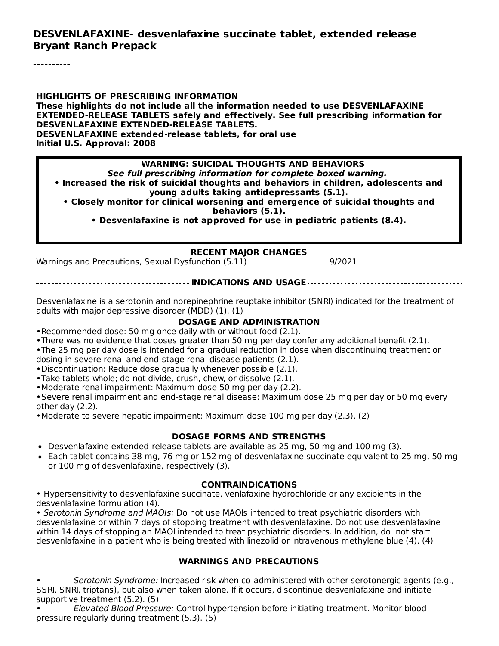----------

| <b>HIGHLIGHTS OF PRESCRIBING INFORMATION</b><br>These highlights do not include all the information needed to use DESVENLAFAXINE<br><b>EXTENDED-RELEASE TABLETS safely and effectively. See full prescribing information for</b><br>DESVENLAFAXINE EXTENDED-RELEASE TABLETS.<br>DESVENLAFAXINE extended-release tablets, for oral use<br>Initial U.S. Approval: 2008                                                                                                                                                                                                                                                                                                                                                                                                                                                                                                             |
|----------------------------------------------------------------------------------------------------------------------------------------------------------------------------------------------------------------------------------------------------------------------------------------------------------------------------------------------------------------------------------------------------------------------------------------------------------------------------------------------------------------------------------------------------------------------------------------------------------------------------------------------------------------------------------------------------------------------------------------------------------------------------------------------------------------------------------------------------------------------------------|
| <b>WARNING: SUICIDAL THOUGHTS AND BEHAVIORS</b><br>See full prescribing information for complete boxed warning.<br>• Increased the risk of suicidal thoughts and behaviors in children, adolescents and<br>young adults taking antidepressants (5.1).<br>• Closely monitor for clinical worsening and emergence of suicidal thoughts and<br>behaviors (5.1).<br>• Desvenlafaxine is not approved for use in pediatric patients (8.4).                                                                                                                                                                                                                                                                                                                                                                                                                                            |
| Warnings and Precautions, Sexual Dysfunction (5.11)<br>9/2021                                                                                                                                                                                                                                                                                                                                                                                                                                                                                                                                                                                                                                                                                                                                                                                                                    |
|                                                                                                                                                                                                                                                                                                                                                                                                                                                                                                                                                                                                                                                                                                                                                                                                                                                                                  |
|                                                                                                                                                                                                                                                                                                                                                                                                                                                                                                                                                                                                                                                                                                                                                                                                                                                                                  |
| Desvenlafaxine is a serotonin and norepinephrine reuptake inhibitor (SNRI) indicated for the treatment of<br>adults with major depressive disorder (MDD) (1). (1)                                                                                                                                                                                                                                                                                                                                                                                                                                                                                                                                                                                                                                                                                                                |
| ------------------------------------ DOSAGE AND ADMINISTRATION -----------------------------------<br>. Recommended dose: 50 mg once daily with or without food (2.1).<br>•There was no evidence that doses greater than 50 mg per day confer any additional benefit (2.1).<br>•The 25 mg per day dose is intended for a gradual reduction in dose when discontinuing treatment or<br>dosing in severe renal and end-stage renal disease patients (2.1).<br>. Discontinuation: Reduce dose gradually whenever possible (2.1).<br>. Take tablets whole; do not divide, crush, chew, or dissolve (2.1).<br>•Moderate renal impairment: Maximum dose 50 mg per day (2.2).<br>•Severe renal impairment and end-stage renal disease: Maximum dose 25 mg per day or 50 mg every<br>other day (2.2).<br>• Moderate to severe hepatic impairment: Maximum dose 100 mg per day (2.3). (2) |
| -------------------- DOSAGE FORMS AND STRENGTHS    --------------------------                                                                                                                                                                                                                                                                                                                                                                                                                                                                                                                                                                                                                                                                                                                                                                                                    |
| • Desvenlafaxine extended-release tablets are available as 25 mg, 50 mg and 100 mg (3).<br>• Each tablet contains 38 mg, 76 mg or 152 mg of desvenlafaxine succinate equivalent to 25 mg, 50 mg<br>or 100 mg of desvenlafaxine, respectively (3).                                                                                                                                                                                                                                                                                                                                                                                                                                                                                                                                                                                                                                |
| . Hypersensitivity to desvenlafaxine succinate, venlafaxine hydrochloride or any excipients in the                                                                                                                                                                                                                                                                                                                                                                                                                                                                                                                                                                                                                                                                                                                                                                               |
| desvenlafaxine formulation (4).<br>· Serotonin Syndrome and MAOIs: Do not use MAOIs intended to treat psychiatric disorders with<br>desvenlafaxine or within 7 days of stopping treatment with desvenlafaxine. Do not use desvenlafaxine<br>within 14 days of stopping an MAOI intended to treat psychiatric disorders. In addition, do not start<br>desvenlafaxine in a patient who is being treated with linezolid or intravenous methylene blue (4). (4)                                                                                                                                                                                                                                                                                                                                                                                                                      |
| -------------------------- WARNINGS AND PRECAUTIONS ---------------------------------                                                                                                                                                                                                                                                                                                                                                                                                                                                                                                                                                                                                                                                                                                                                                                                            |
| Serotonin Syndrome: Increased risk when co-administered with other serotonergic agents (e.g.,<br>SSRI, SNRI, triptans), but also when taken alone. If it occurs, discontinue desvenlafaxine and initiate<br>supportive treatment (5.2). (5)<br>Flouated Blood Pressure: Control bypertension before initiating treatment. Monitor blood                                                                                                                                                                                                                                                                                                                                                                                                                                                                                                                                          |

• **Elevated Blood Pressure: Control hypertension before initiating treatment. Monitor blood** pressure regularly during treatment (5.3). (5)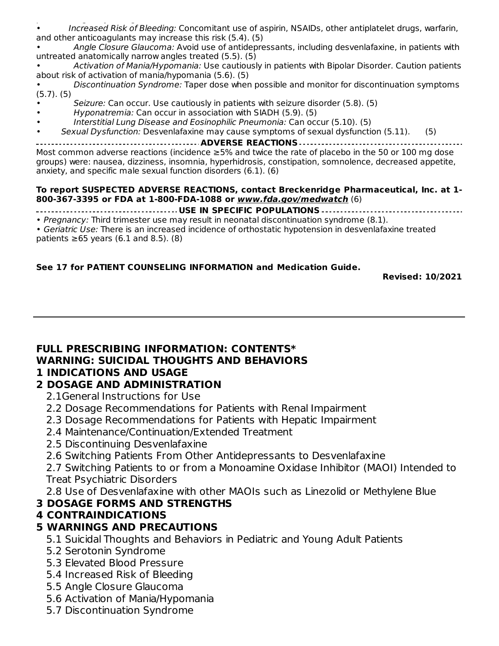- pressure regularly during treatment (5.3). (5) • Increased Risk of Bleeding: Concomitant use of aspirin, NSAIDs, other antiplatelet drugs, warfarin, and other anticoagulants may increase this risk (5.4). (5)
- Angle Closure Glaucoma: Avoid use of antidepressants, including desvenlafaxine, in patients with untreated anatomically narrow angles treated (5.5). (5)
- Activation of Mania/Hypomania: Use cautiously in patients with Bipolar Disorder. Caution patients about risk of activation of mania/hypomania (5.6). (5)
- Discontinuation Syndrome: Taper dose when possible and monitor for discontinuation symptoms (5.7). (5)
- Seizure: Can occur. Use cautiously in patients with seizure disorder (5.8). (5)
- Hyponatremia: Can occur in association with SIADH (5.9). (5)
- Interstitial Lung Disease and Eosinophilic Pneumonia: Can occur (5.10). (5)
- Sexual Dysfunction: Desvenlafaxine may cause symptoms of sexual dysfunction (5.11). (5)

**ADVERSE REACTIONS** Most common adverse reactions (incidence ≥5% and twice the rate of placebo in the 50 or 100 mg dose groups) were: nausea, dizziness, insomnia, hyperhidrosis, constipation, somnolence, decreased appetite, anxiety, and specific male sexual function disorders (6.1). (6)

#### **To report SUSPECTED ADVERSE REACTIONS, contact Breckenridge Pharmaceutical, Inc. at 1- 800-367-3395 or FDA at 1-800-FDA-1088 or www.fda.gov/medwatch** (6)

- **USE IN SPECIFIC POPULATIONS**
- Pregnancy: Third trimester use may result in neonatal discontinuation syndrome (8.1).
- Geriatric Use: There is an increased incidence of orthostatic hypotension in desvenlafaxine treated patients  $≥65$  years (6.1 and 8.5). (8)

#### **See 17 for PATIENT COUNSELING INFORMATION and Medication Guide.**

**Revised: 10/2021**

#### **FULL PRESCRIBING INFORMATION: CONTENTS\* WARNING: SUICIDAL THOUGHTS AND BEHAVIORS 1 INDICATIONS AND USAGE**

### **2 DOSAGE AND ADMINISTRATION**

- 2.1General Instructions for Use
- 2.2 Dosage Recommendations for Patients with Renal Impairment
- 2.3 Dosage Recommendations for Patients with Hepatic Impairment
- 2.4 Maintenance/Continuation/Extended Treatment
- 2.5 Discontinuing Desvenlafaxine
- 2.6 Switching Patients From Other Antidepressants to Desvenlafaxine

2.7 Switching Patients to or from a Monoamine Oxidase Inhibitor (MAOI) Intended to Treat Psychiatric Disorders

2.8 Use of Desvenlafaxine with other MAOIs such as Linezolid or Methylene Blue

### **3 DOSAGE FORMS AND STRENGTHS**

## **4 CONTRAINDICATIONS**

### **5 WARNINGS AND PRECAUTIONS**

5.1 Suicidal Thoughts and Behaviors in Pediatric and Young Adult Patients

- 5.2 Serotonin Syndrome
- 5.3 Elevated Blood Pressure
- 5.4 Increased Risk of Bleeding
- 5.5 Angle Closure Glaucoma
- 5.6 Activation of Mania/Hypomania
- 5.7 Discontinuation Syndrome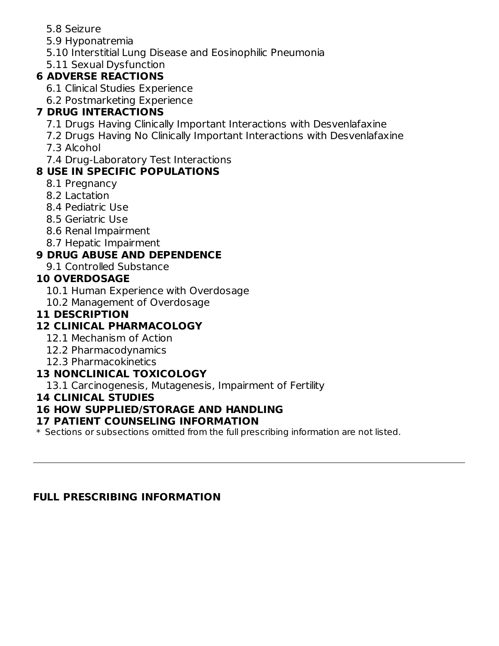- 5.8 Seizure
- 5.9 Hyponatremia
- 5.10 Interstitial Lung Disease and Eosinophilic Pneumonia
- 5.11 Sexual Dysfunction

# **6 ADVERSE REACTIONS**

- 6.1 Clinical Studies Experience
- 6.2 Postmarketing Experience

# **7 DRUG INTERACTIONS**

- 7.1 Drugs Having Clinically Important Interactions with Desvenlafaxine
- 7.2 Drugs Having No Clinically Important Interactions with Desvenlafaxine
- 7.3 Alcohol
- 7.4 Drug-Laboratory Test Interactions

## **8 USE IN SPECIFIC POPULATIONS**

- 8.1 Pregnancy
- 8.2 Lactation
- 8.4 Pediatric Use
- 8.5 Geriatric Use
- 8.6 Renal Impairment
- 8.7 Hepatic Impairment

## **9 DRUG ABUSE AND DEPENDENCE**

9.1 Controlled Substance

## **10 OVERDOSAGE**

- 10.1 Human Experience with Overdosage
- 10.2 Management of Overdosage

## **11 DESCRIPTION**

# **12 CLINICAL PHARMACOLOGY**

- 12.1 Mechanism of Action
- 12.2 Pharmacodynamics
- 12.3 Pharmacokinetics

## **13 NONCLINICAL TOXICOLOGY**

13.1 Carcinogenesis, Mutagenesis, Impairment of Fertility

## **14 CLINICAL STUDIES**

## **16 HOW SUPPLIED/STORAGE AND HANDLING**

### **17 PATIENT COUNSELING INFORMATION**

 $\ast$  Sections or subsections omitted from the full prescribing information are not listed.

## **FULL PRESCRIBING INFORMATION**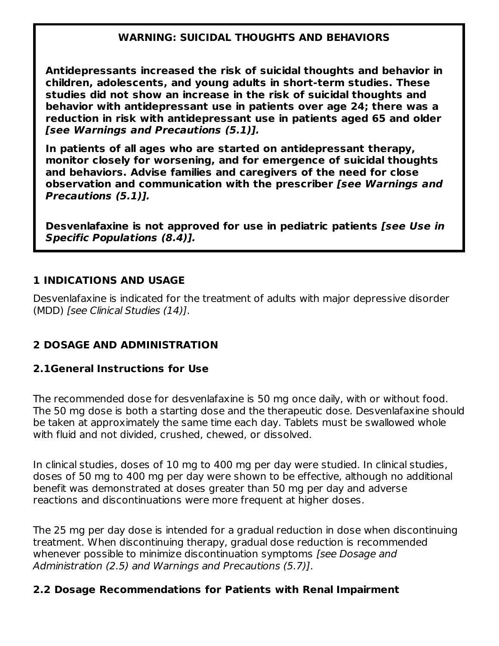### **WARNING: SUICIDAL THOUGHTS AND BEHAVIORS**

**Antidepressants increased the risk of suicidal thoughts and behavior in children, adolescents, and young adults in short-term studies. These studies did not show an increase in the risk of suicidal thoughts and behavior with antidepressant use in patients over age 24; there was a reduction in risk with antidepressant use in patients aged 65 and older [see Warnings and Precautions (5.1)].**

**In patients of all ages who are started on antidepressant therapy, monitor closely for worsening, and for emergence of suicidal thoughts and behaviors. Advise families and caregivers of the need for close observation and communication with the prescriber [see Warnings and Precautions (5.1)].**

**Desvenlafaxine is not approved for use in pediatric patients [see Use in Specific Populations (8.4)].**

### **1 INDICATIONS AND USAGE**

Desvenlafaxine is indicated for the treatment of adults with major depressive disorder (MDD) [see Clinical Studies (14)].

### **2 DOSAGE AND ADMINISTRATION**

### **2.1General Instructions for Use**

The recommended dose for desvenlafaxine is 50 mg once daily, with or without food. The 50 mg dose is both a starting dose and the therapeutic dose. Desvenlafaxine should be taken at approximately the same time each day. Tablets must be swallowed whole with fluid and not divided, crushed, chewed, or dissolved.

In clinical studies, doses of 10 mg to 400 mg per day were studied. In clinical studies, doses of 50 mg to 400 mg per day were shown to be effective, although no additional benefit was demonstrated at doses greater than 50 mg per day and adverse reactions and discontinuations were more frequent at higher doses.

The 25 mg per day dose is intended for a gradual reduction in dose when discontinuing treatment. When discontinuing therapy, gradual dose reduction is recommended whenever possible to minimize discontinuation symptoms [see Dosage and Administration (2.5) and Warnings and Precautions (5.7)].

### **2.2 Dosage Recommendations for Patients with Renal Impairment**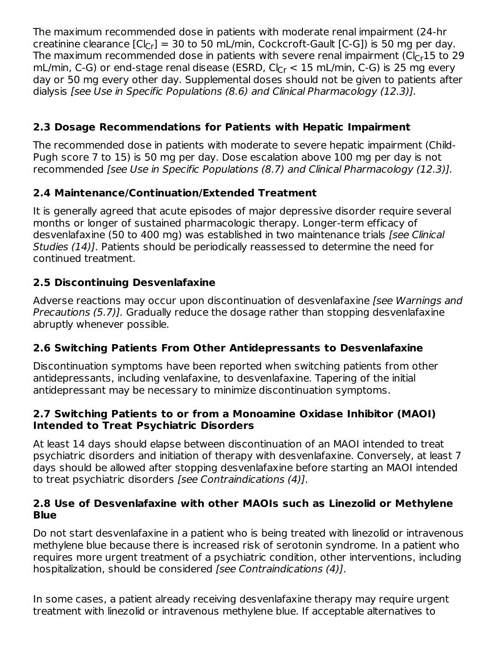The maximum recommended dose in patients with moderate renal impairment (24-hr creatinine clearance [Cl $_{\rm Cr}]$  = 30 to 50 mL/min, Cockcroft-Gault [C-G]) is 50 mg per day. The maximum recommended dose in patients with severe renal impairment (Cl $_{\rm Cr}$ 15 to 29 mL/min, C-G) or end-stage renal disease (ESRD, Cl $_{\rm Cr}$   $<$  15 mL/min, C-G) is 25 mg every day or 50 mg every other day. Supplemental doses should not be given to patients after dialysis [see Use in Specific Populations (8.6) and Clinical Pharmacology (12.3)].

## **2.3 Dosage Recommendations for Patients with Hepatic Impairment**

The recommended dose in patients with moderate to severe hepatic impairment (Child-Pugh score 7 to 15) is 50 mg per day. Dose escalation above 100 mg per day is not recommended [see Use in Specific Populations (8.7) and Clinical Pharmacology (12.3)].

## **2.4 Maintenance/Continuation/Extended Treatment**

It is generally agreed that acute episodes of major depressive disorder require several months or longer of sustained pharmacologic therapy. Longer-term efficacy of desvenlafaxine (50 to 400 mg) was established in two maintenance trials *[see Clinical*] Studies (14)]. Patients should be periodically reassessed to determine the need for continued treatment.

## **2.5 Discontinuing Desvenlafaxine**

Adverse reactions may occur upon discontinuation of desvenlafaxine (see Warnings and Precautions (5.7)]. Gradually reduce the dosage rather than stopping desvenlafaxine abruptly whenever possible.

## **2.6 Switching Patients From Other Antidepressants to Desvenlafaxine**

Discontinuation symptoms have been reported when switching patients from other antidepressants, including venlafaxine, to desvenlafaxine. Tapering of the initial antidepressant may be necessary to minimize discontinuation symptoms.

### **2.7 Switching Patients to or from a Monoamine Oxidase Inhibitor (MAOI) Intended to Treat Psychiatric Disorders**

At least 14 days should elapse between discontinuation of an MAOI intended to treat psychiatric disorders and initiation of therapy with desvenlafaxine. Conversely, at least 7 days should be allowed after stopping desvenlafaxine before starting an MAOI intended to treat psychiatric disorders [see Contraindications (4)].

### **2.8 Use of Desvenlafaxine with other MAOIs such as Linezolid or Methylene Blue**

Do not start desvenlafaxine in a patient who is being treated with linezolid or intravenous methylene blue because there is increased risk of serotonin syndrome. In a patient who requires more urgent treatment of a psychiatric condition, other interventions, including hospitalization, should be considered [see Contraindications (4)].

In some cases, a patient already receiving desvenlafaxine therapy may require urgent treatment with linezolid or intravenous methylene blue. If acceptable alternatives to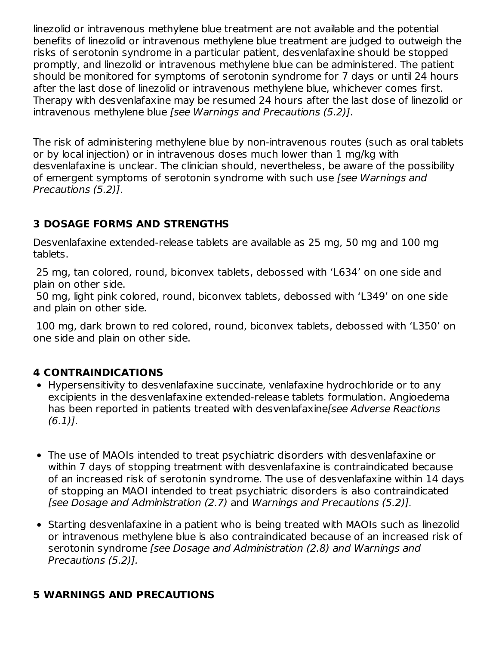linezolid or intravenous methylene blue treatment are not available and the potential benefits of linezolid or intravenous methylene blue treatment are judged to outweigh the risks of serotonin syndrome in a particular patient, desvenlafaxine should be stopped promptly, and linezolid or intravenous methylene blue can be administered. The patient should be monitored for symptoms of serotonin syndrome for 7 days or until 24 hours after the last dose of linezolid or intravenous methylene blue, whichever comes first. Therapy with desvenlafaxine may be resumed 24 hours after the last dose of linezolid or intravenous methylene blue [see Warnings and Precautions (5.2)].

The risk of administering methylene blue by non-intravenous routes (such as oral tablets or by local injection) or in intravenous doses much lower than 1 mg/kg with desvenlafaxine is unclear. The clinician should, nevertheless, be aware of the possibility of emergent symptoms of serotonin syndrome with such use [see Warnings and Precautions (5.2)].

### **3 DOSAGE FORMS AND STRENGTHS**

Desvenlafaxine extended-release tablets are available as 25 mg, 50 mg and 100 mg tablets.

25 mg, tan colored, round, biconvex tablets, debossed with 'L634' on one side and plain on other side.

50 mg, light pink colored, round, biconvex tablets, debossed with 'L349' on one side and plain on other side.

100 mg, dark brown to red colored, round, biconvex tablets, debossed with 'L350' on one side and plain on other side.

## **4 CONTRAINDICATIONS**

- Hypersensitivity to desvenlafaxine succinate, venlafaxine hydrochloride or to any excipients in the desvenlafaxine extended-release tablets formulation. Angioedema has been reported in patients treated with desvenlafaxine [see Adverse Reactions  $(6.1)$ ].
- The use of MAOIs intended to treat psychiatric disorders with desvenlafaxine or within 7 days of stopping treatment with desvenlafaxine is contraindicated because of an increased risk of serotonin syndrome. The use of desvenlafaxine within 14 days of stopping an MAOI intended to treat psychiatric disorders is also contraindicated [see Dosage and Administration (2.7) and Warnings and Precautions (5.2)].
- Starting desvenlafaxine in a patient who is being treated with MAOIs such as linezolid or intravenous methylene blue is also contraindicated because of an increased risk of serotonin syndrome [see Dosage and Administration (2.8) and Warnings and Precautions (5.2)].

### **5 WARNINGS AND PRECAUTIONS**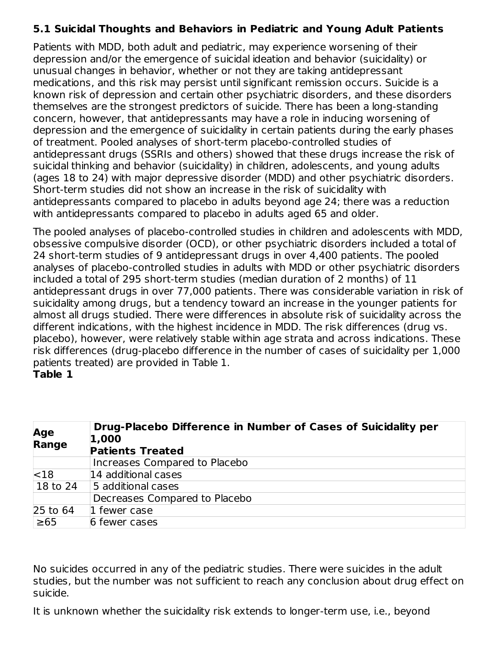## **5.1 Suicidal Thoughts and Behaviors in Pediatric and Young Adult Patients**

Patients with MDD, both adult and pediatric, may experience worsening of their depression and/or the emergence of suicidal ideation and behavior (suicidality) or unusual changes in behavior, whether or not they are taking antidepressant medications, and this risk may persist until significant remission occurs. Suicide is a known risk of depression and certain other psychiatric disorders, and these disorders themselves are the strongest predictors of suicide. There has been a long-standing concern, however, that antidepressants may have a role in inducing worsening of depression and the emergence of suicidality in certain patients during the early phases of treatment. Pooled analyses of short-term placebo-controlled studies of antidepressant drugs (SSRIs and others) showed that these drugs increase the risk of suicidal thinking and behavior (suicidality) in children, adolescents, and young adults (ages 18 to 24) with major depressive disorder (MDD) and other psychiatric disorders. Short-term studies did not show an increase in the risk of suicidality with antidepressants compared to placebo in adults beyond age 24; there was a reduction with antidepressants compared to placebo in adults aged 65 and older.

The pooled analyses of placebo-controlled studies in children and adolescents with MDD, obsessive compulsive disorder (OCD), or other psychiatric disorders included a total of 24 short-term studies of 9 antidepressant drugs in over 4,400 patients. The pooled analyses of placebo-controlled studies in adults with MDD or other psychiatric disorders included a total of 295 short-term studies (median duration of 2 months) of 11 antidepressant drugs in over 77,000 patients. There was considerable variation in risk of suicidality among drugs, but a tendency toward an increase in the younger patients for almost all drugs studied. There were differences in absolute risk of suicidality across the different indications, with the highest incidence in MDD. The risk differences (drug vs. placebo), however, were relatively stable within age strata and across indications. These risk differences (drug-placebo difference in the number of cases of suicidality per 1,000 patients treated) are provided in Table 1.

### **Table 1**

| <b>Age</b><br>Range | Drug-Placebo Difference in Number of Cases of Suicidality per<br>1,000 |
|---------------------|------------------------------------------------------------------------|
|                     | <b>Patients Treated</b>                                                |
|                     | Increases Compared to Placebo                                          |
| $ $ < 18            | 14 additional cases                                                    |
| $\sqrt{18}$ to 24   | 5 additional cases                                                     |
|                     | Decreases Compared to Placebo                                          |
| 25 to 64            | 1 fewer case                                                           |
| $\geq 65$           | 6 fewer cases                                                          |

No suicides occurred in any of the pediatric studies. There were suicides in the adult studies, but the number was not sufficient to reach any conclusion about drug effect on suicide.

It is unknown whether the suicidality risk extends to longer-term use, i.e., beyond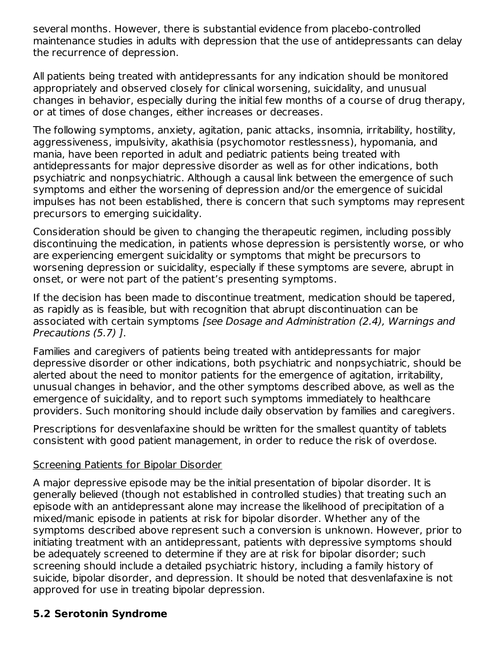several months. However, there is substantial evidence from placebo-controlled maintenance studies in adults with depression that the use of antidepressants can delay the recurrence of depression.

All patients being treated with antidepressants for any indication should be monitored appropriately and observed closely for clinical worsening, suicidality, and unusual changes in behavior, especially during the initial few months of a course of drug therapy, or at times of dose changes, either increases or decreases.

The following symptoms, anxiety, agitation, panic attacks, insomnia, irritability, hostility, aggressiveness, impulsivity, akathisia (psychomotor restlessness), hypomania, and mania, have been reported in adult and pediatric patients being treated with antidepressants for major depressive disorder as well as for other indications, both psychiatric and nonpsychiatric. Although a causal link between the emergence of such symptoms and either the worsening of depression and/or the emergence of suicidal impulses has not been established, there is concern that such symptoms may represent precursors to emerging suicidality.

Consideration should be given to changing the therapeutic regimen, including possibly discontinuing the medication, in patients whose depression is persistently worse, or who are experiencing emergent suicidality or symptoms that might be precursors to worsening depression or suicidality, especially if these symptoms are severe, abrupt in onset, or were not part of the patient's presenting symptoms.

If the decision has been made to discontinue treatment, medication should be tapered, as rapidly as is feasible, but with recognition that abrupt discontinuation can be associated with certain symptoms [see Dosage and Administration (2.4), Warnings and Precautions (5.7) ].

Families and caregivers of patients being treated with antidepressants for major depressive disorder or other indications, both psychiatric and nonpsychiatric, should be alerted about the need to monitor patients for the emergence of agitation, irritability, unusual changes in behavior, and the other symptoms described above, as well as the emergence of suicidality, and to report such symptoms immediately to healthcare providers. Such monitoring should include daily observation by families and caregivers.

Prescriptions for desvenlafaxine should be written for the smallest quantity of tablets consistent with good patient management, in order to reduce the risk of overdose.

### Screening Patients for Bipolar Disorder

A major depressive episode may be the initial presentation of bipolar disorder. It is generally believed (though not established in controlled studies) that treating such an episode with an antidepressant alone may increase the likelihood of precipitation of a mixed/manic episode in patients at risk for bipolar disorder. Whether any of the symptoms described above represent such a conversion is unknown. However, prior to initiating treatment with an antidepressant, patients with depressive symptoms should be adequately screened to determine if they are at risk for bipolar disorder; such screening should include a detailed psychiatric history, including a family history of suicide, bipolar disorder, and depression. It should be noted that desvenlafaxine is not approved for use in treating bipolar depression.

### **5.2 Serotonin Syndrome**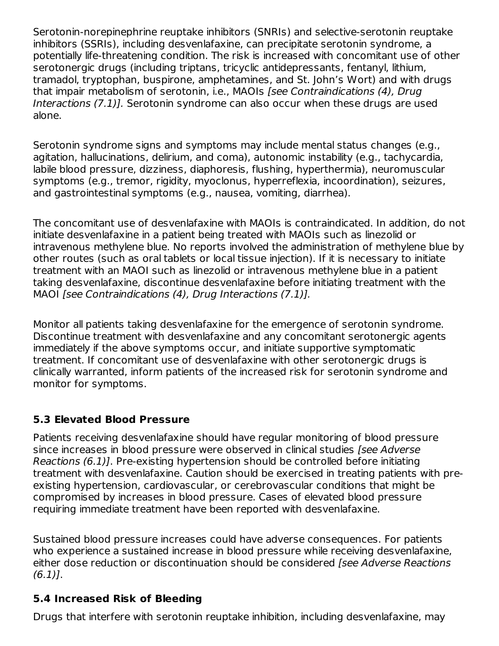Serotonin-norepinephrine reuptake inhibitors (SNRIs) and selective-serotonin reuptake inhibitors (SSRIs), including desvenlafaxine, can precipitate serotonin syndrome, a potentially life-threatening condition. The risk is increased with concomitant use of other serotonergic drugs (including triptans, tricyclic antidepressants, fentanyl, lithium, tramadol, tryptophan, buspirone, amphetamines, and St. John's Wort) and with drugs that impair metabolism of serotonin, i.e., MAOIs [see Contraindications (4), Drug Interactions (7.1)]. Serotonin syndrome can also occur when these drugs are used alone.

Serotonin syndrome signs and symptoms may include mental status changes (e.g., agitation, hallucinations, delirium, and coma), autonomic instability (e.g., tachycardia, labile blood pressure, dizziness, diaphoresis, flushing, hyperthermia), neuromuscular symptoms (e.g., tremor, rigidity, myoclonus, hyperreflexia, incoordination), seizures, and gastrointestinal symptoms (e.g., nausea, vomiting, diarrhea).

The concomitant use of desvenlafaxine with MAOIs is contraindicated. In addition, do not initiate desvenlafaxine in a patient being treated with MAOIs such as linezolid or intravenous methylene blue. No reports involved the administration of methylene blue by other routes (such as oral tablets or local tissue injection). If it is necessary to initiate treatment with an MAOI such as linezolid or intravenous methylene blue in a patient taking desvenlafaxine, discontinue desvenlafaxine before initiating treatment with the MAOI [see Contraindications (4), Drug Interactions (7.1)].

Monitor all patients taking desvenlafaxine for the emergence of serotonin syndrome. Discontinue treatment with desvenlafaxine and any concomitant serotonergic agents immediately if the above symptoms occur, and initiate supportive symptomatic treatment. If concomitant use of desvenlafaxine with other serotonergic drugs is clinically warranted, inform patients of the increased risk for serotonin syndrome and monitor for symptoms.

### **5.3 Elevated Blood Pressure**

Patients receiving desvenlafaxine should have regular monitoring of blood pressure since increases in blood pressure were observed in clinical studies *[see Adverse*] Reactions (6.1)]. Pre-existing hypertension should be controlled before initiating treatment with desvenlafaxine. Caution should be exercised in treating patients with preexisting hypertension, cardiovascular, or cerebrovascular conditions that might be compromised by increases in blood pressure. Cases of elevated blood pressure requiring immediate treatment have been reported with desvenlafaxine.

Sustained blood pressure increases could have adverse consequences. For patients who experience a sustained increase in blood pressure while receiving desvenlafaxine, either dose reduction or discontinuation should be considered *[see Adverse Reactions*  $(6.1)$ ].

## **5.4 Increased Risk of Bleeding**

Drugs that interfere with serotonin reuptake inhibition, including desvenlafaxine, may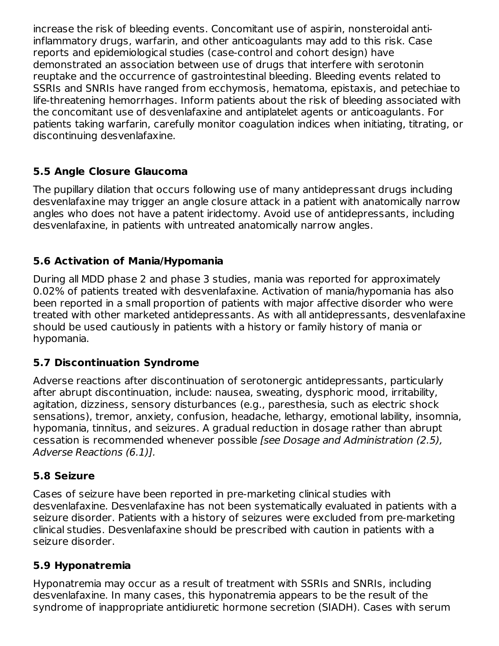increase the risk of bleeding events. Concomitant use of aspirin, nonsteroidal antiinflammatory drugs, warfarin, and other anticoagulants may add to this risk. Case reports and epidemiological studies (case-control and cohort design) have demonstrated an association between use of drugs that interfere with serotonin reuptake and the occurrence of gastrointestinal bleeding. Bleeding events related to SSRIs and SNRIs have ranged from ecchymosis, hematoma, epistaxis, and petechiae to life-threatening hemorrhages. Inform patients about the risk of bleeding associated with the concomitant use of desvenlafaxine and antiplatelet agents or anticoagulants. For patients taking warfarin, carefully monitor coagulation indices when initiating, titrating, or discontinuing desvenlafaxine.

## **5.5 Angle Closure Glaucoma**

The pupillary dilation that occurs following use of many antidepressant drugs including desvenlafaxine may trigger an angle closure attack in a patient with anatomically narrow angles who does not have a patent iridectomy. Avoid use of antidepressants, including desvenlafaxine, in patients with untreated anatomically narrow angles.

### **5.6 Activation of Mania/Hypomania**

During all MDD phase 2 and phase 3 studies, mania was reported for approximately 0.02% of patients treated with desvenlafaxine. Activation of mania/hypomania has also been reported in a small proportion of patients with major affective disorder who were treated with other marketed antidepressants. As with all antidepressants, desvenlafaxine should be used cautiously in patients with a history or family history of mania or hypomania.

### **5.7 Discontinuation Syndrome**

Adverse reactions after discontinuation of serotonergic antidepressants, particularly after abrupt discontinuation, include: nausea, sweating, dysphoric mood, irritability, agitation, dizziness, sensory disturbances (e.g., paresthesia, such as electric shock sensations), tremor, anxiety, confusion, headache, lethargy, emotional lability, insomnia, hypomania, tinnitus, and seizures. A gradual reduction in dosage rather than abrupt cessation is recommended whenever possible [see Dosage and Administration (2.5), Adverse Reactions (6.1)].

### **5.8 Seizure**

Cases of seizure have been reported in pre-marketing clinical studies with desvenlafaxine. Desvenlafaxine has not been systematically evaluated in patients with a seizure disorder. Patients with a history of seizures were excluded from pre-marketing clinical studies. Desvenlafaxine should be prescribed with caution in patients with a seizure disorder.

### **5.9 Hyponatremia**

Hyponatremia may occur as a result of treatment with SSRIs and SNRIs, including desvenlafaxine. In many cases, this hyponatremia appears to be the result of the syndrome of inappropriate antidiuretic hormone secretion (SIADH). Cases with serum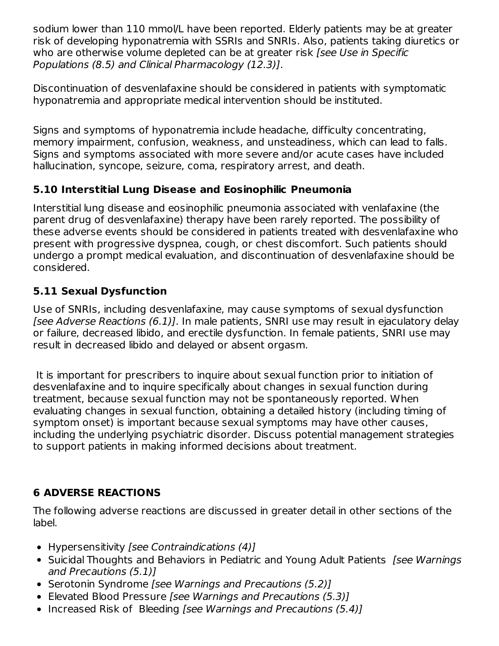sodium lower than 110 mmol/L have been reported. Elderly patients may be at greater risk of developing hyponatremia with SSRIs and SNRIs. Also, patients taking diuretics or who are otherwise volume depleted can be at greater risk [see Use in Specific Populations (8.5) and Clinical Pharmacology (12.3)].

Discontinuation of desvenlafaxine should be considered in patients with symptomatic hyponatremia and appropriate medical intervention should be instituted.

Signs and symptoms of hyponatremia include headache, difficulty concentrating, memory impairment, confusion, weakness, and unsteadiness, which can lead to falls. Signs and symptoms associated with more severe and/or acute cases have included hallucination, syncope, seizure, coma, respiratory arrest, and death.

## **5.10 Interstitial Lung Disease and Eosinophilic Pneumonia**

Interstitial lung disease and eosinophilic pneumonia associated with venlafaxine (the parent drug of desvenlafaxine) therapy have been rarely reported. The possibility of these adverse events should be considered in patients treated with desvenlafaxine who present with progressive dyspnea, cough, or chest discomfort. Such patients should undergo a prompt medical evaluation, and discontinuation of desvenlafaxine should be considered.

## **5.11 Sexual Dysfunction**

Use of SNRIs, including desvenlafaxine, may cause symptoms of sexual dysfunction [see Adverse Reactions (6.1)]. In male patients, SNRI use may result in ejaculatory delay or failure, decreased libido, and erectile dysfunction. In female patients, SNRI use may result in decreased libido and delayed or absent orgasm.

It is important for prescribers to inquire about sexual function prior to initiation of desvenlafaxine and to inquire specifically about changes in sexual function during treatment, because sexual function may not be spontaneously reported. When evaluating changes in sexual function, obtaining a detailed history (including timing of symptom onset) is important because sexual symptoms may have other causes, including the underlying psychiatric disorder. Discuss potential management strategies to support patients in making informed decisions about treatment.

# **6 ADVERSE REACTIONS**

The following adverse reactions are discussed in greater detail in other sections of the label.

- Hypersensitivity [see Contraindications (4)]
- Suicidal Thoughts and Behaviors in Pediatric and Young Adult Patients *[see Warnings* and Precautions (5.1)]
- Serotonin Syndrome [see Warnings and Precautions (5.2)]
- Elevated Blood Pressure [see Warnings and Precautions (5.3)]
- Increased Risk of Bleeding [see Warnings and Precautions (5.4)]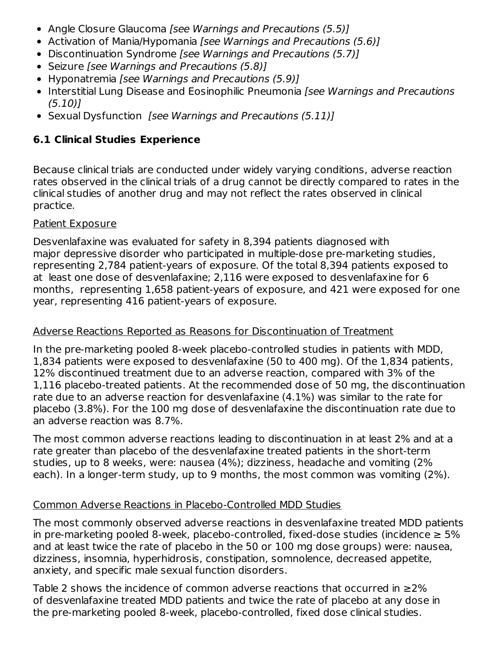- Angle Closure Glaucoma [see Warnings and Precautions (5.5)]
- Activation of Mania/Hypomania [see Warnings and Precautions (5.6)]
- Discontinuation Syndrome [see Warnings and Precautions (5.7)]
- Seizure [see Warnings and Precautions (5.8)]
- Hyponatremia [see Warnings and Precautions (5.9)]
- Interstitial Lung Disease and Eosinophilic Pneumonia [see Warnings and Precautions (5.10)]
- Sexual Dysfunction *[see Warnings and Precautions (5.11)]*

## **6.1 Clinical Studies Experience**

Because clinical trials are conducted under widely varying conditions, adverse reaction rates observed in the clinical trials of a drug cannot be directly compared to rates in the clinical studies of another drug and may not reflect the rates observed in clinical practice.

## Patient Exposure

Desvenlafaxine was evaluated for safety in 8,394 patients diagnosed with major depressive disorder who participated in multiple-dose pre-marketing studies, representing 2,784 patient-years of exposure. Of the total 8,394 patients exposed to at least one dose of desvenlafaxine; 2,116 were exposed to desvenlafaxine for 6 months, representing 1,658 patient-years of exposure, and 421 were exposed for one year, representing 416 patient-years of exposure.

## Adverse Reactions Reported as Reasons for Discontinuation of Treatment

In the pre-marketing pooled 8-week placebo-controlled studies in patients with MDD, 1,834 patients were exposed to desvenlafaxine (50 to 400 mg). Of the 1,834 patients, 12% discontinued treatment due to an adverse reaction, compared with 3% of the 1,116 placebo-treated patients. At the recommended dose of 50 mg, the discontinuation rate due to an adverse reaction for desvenlafaxine (4.1%) was similar to the rate for placebo (3.8%). For the 100 mg dose of desvenlafaxine the discontinuation rate due to an adverse reaction was 8.7%.

The most common adverse reactions leading to discontinuation in at least 2% and at a rate greater than placebo of the desvenlafaxine treated patients in the short-term studies, up to 8 weeks, were: nausea (4%); dizziness, headache and vomiting (2% each). In a longer-term study, up to 9 months, the most common was vomiting (2%).

### Common Adverse Reactions in Placebo-Controlled MDD Studies

The most commonly observed adverse reactions in desvenlafaxine treated MDD patients in pre-marketing pooled 8-week, placebo-controlled, fixed-dose studies (incidence  $\geq 5\%$ and at least twice the rate of placebo in the 50 or 100 mg dose groups) were: nausea, dizziness, insomnia, hyperhidrosis, constipation, somnolence, decreased appetite, anxiety, and specific male sexual function disorders.

Table 2 shows the incidence of common adverse reactions that occurred in ≥2% of desvenlafaxine treated MDD patients and twice the rate of placebo at any dose in the pre-marketing pooled 8-week, placebo-controlled, fixed dose clinical studies.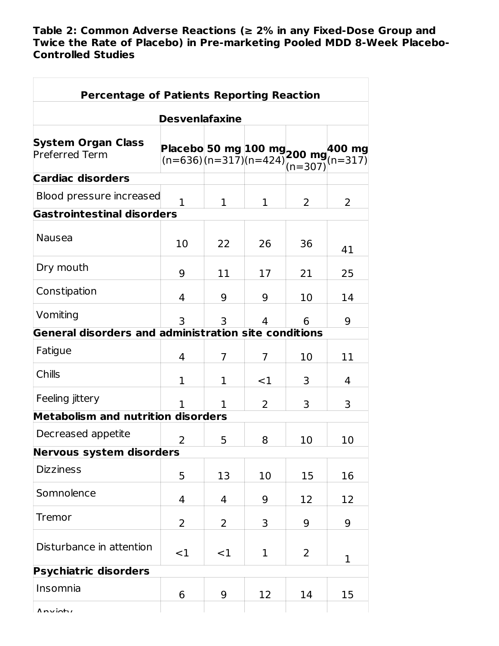**Table 2: Common Adverse Reactions (≥ 2% in any Fixed-Dose Group and Twice the Rate of Placebo) in Pre-marketing Pooled MDD 8-Week Placebo-Controlled Studies**

 $\overline{\phantom{a}}$ 

| <b>Percentage of Patients Reporting Reaction</b>            |                                                                                                 |                |              |    |    |  |
|-------------------------------------------------------------|-------------------------------------------------------------------------------------------------|----------------|--------------|----|----|--|
| <b>Desvenlafaxine</b>                                       |                                                                                                 |                |              |    |    |  |
| <b>System Organ Class</b><br><b>Preferred Term</b>          | <b>Placebo</b> 50 mg 100 mg 200 mg 400 mg<br>(n=636) (n=317) (n=424) <sub>(n=307)</sub> (n=317) |                |              |    |    |  |
| <b>Cardiac disorders</b>                                    |                                                                                                 |                |              |    |    |  |
| Blood pressure increased                                    | 1                                                                                               | 1              | 1            | 2  | 2  |  |
| <b>Gastrointestinal disorders</b>                           |                                                                                                 |                |              |    |    |  |
| <b>Nausea</b>                                               | 10                                                                                              | 22             | 26           | 36 | 41 |  |
| Dry mouth                                                   | 9                                                                                               | 11             | 17           | 21 | 25 |  |
| Constipation                                                | 4                                                                                               | 9              | 9            | 10 | 14 |  |
| Vomiting                                                    | 3                                                                                               | 3              | 4            | 6  | 9  |  |
| <b>General disorders and administration site conditions</b> |                                                                                                 |                |              |    |    |  |
| Fatigue                                                     | 4                                                                                               | 7              | 7            | 10 | 11 |  |
| Chills                                                      | 1                                                                                               | 1              | ${<}1$       | 3  | 4  |  |
| Feeling jittery                                             | 1                                                                                               | 1              | 2            | 3  | 3  |  |
| <b>Metabolism and nutrition disorders</b>                   |                                                                                                 |                |              |    |    |  |
| Decreased appetite                                          | 2                                                                                               | 5              | 8            | 10 | 10 |  |
| Nervous system disorders                                    |                                                                                                 |                |              |    |    |  |
| <b>Dizziness</b>                                            | 5                                                                                               | 13             | 10           | 15 | 16 |  |
| Somnolence                                                  | 4                                                                                               | 4              | 9            | 12 | 12 |  |
| Tremor                                                      | 2                                                                                               | $\overline{2}$ | 3            | 9  | 9  |  |
| Disturbance in attention                                    | $<$ 1                                                                                           | $<$ 1          | $\mathbf{1}$ | 2  | 1  |  |
| <b>Psychiatric disorders</b>                                |                                                                                                 |                |              |    |    |  |
| Insomnia                                                    | 6                                                                                               | 9              | 12           | 14 | 15 |  |
| $A$ nvinty                                                  |                                                                                                 |                |              |    |    |  |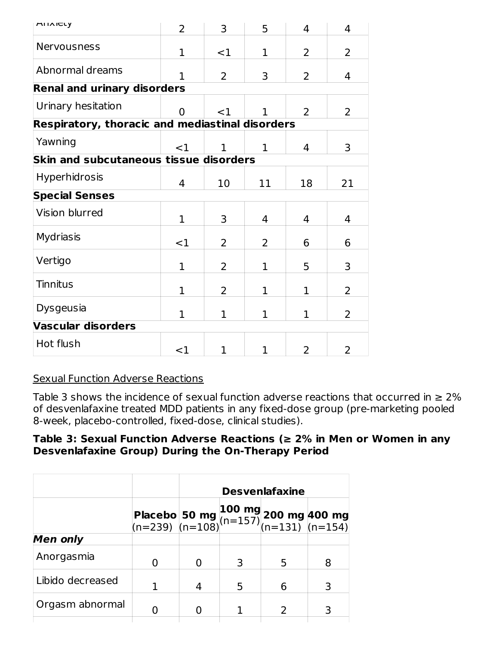| <b>ALIAICLY</b>                                 | $\overline{2}$ | 3              | 5            | 4              | 4              |
|-------------------------------------------------|----------------|----------------|--------------|----------------|----------------|
| Nervousness                                     | $\mathbf{1}$   | $<$ 1          | $\mathbf{1}$ | $\overline{2}$ | $\overline{2}$ |
| Abnormal dreams                                 | $\mathbf{1}$   | $\overline{2}$ | 3            | $\overline{2}$ | 4              |
| <b>Renal and urinary disorders</b>              |                |                |              |                |                |
| Urinary hesitation                              | $\Omega$       | $<$ 1          | 1            | 2              | 2              |
| Respiratory, thoracic and mediastinal disorders |                |                |              |                |                |
| Yawning                                         | $<$ 1          | 1              | $\mathbf{1}$ | 4              | 3              |
| Skin and subcutaneous tissue disorders          |                |                |              |                |                |
| <b>Hyperhidrosis</b>                            | 4              | 10             | 11           | 18             | 21             |
| <b>Special Senses</b>                           |                |                |              |                |                |
| Vision blurred                                  | $\mathbf{1}$   | 3              | 4            | 4              | 4              |
| <b>Mydriasis</b>                                | $<$ 1          | 2              | 2            | 6              | 6              |
| Vertigo                                         | $\mathbf{1}$   | $\overline{2}$ | $\mathbf{1}$ | 5              | 3              |
| <b>Tinnitus</b>                                 | $\mathbf 1$    | $\overline{2}$ | $\mathbf 1$  | $\mathbf{1}$   | 2              |
| Dysgeusia                                       | $\mathbf{1}$   | $\mathbf{1}$   | $\mathbf{1}$ | $\mathbf{1}$   | 2              |
| <b>Vascular disorders</b>                       |                |                |              |                |                |
| Hot flush                                       | $<$ 1          | $\mathbf{1}$   | $\mathbf{1}$ | $\overline{2}$ | 2              |

### Sexual Function Adverse Reactions

Table 3 shows the incidence of sexual function adverse reactions that occurred in  $\geq 2\%$ of desvenlafaxine treated MDD patients in any fixed-dose group (pre-marketing pooled 8-week, placebo-controlled, fixed-dose, clinical studies).

### **Table 3: Sexual Function Adverse Reactions (≥ 2% in Men or Women in any Desvenlafaxine Group) During the On-Therapy Period**

|                  |                                                                                                 |   | <b>Desvenlafaxine</b> |  |
|------------------|-------------------------------------------------------------------------------------------------|---|-----------------------|--|
|                  | <b>Placebo</b> 50 mg 100 mg 200 mg 400 mg<br>(n=239) (n=108) <sup>(n=157)</sup> (n=131) (n=154) |   |                       |  |
| <b>Men only</b>  |                                                                                                 |   |                       |  |
| Anorgasmia       |                                                                                                 | 3 | 5                     |  |
| Libido decreased |                                                                                                 | 5 |                       |  |
| Orgasm abnormal  |                                                                                                 |   |                       |  |
|                  |                                                                                                 |   |                       |  |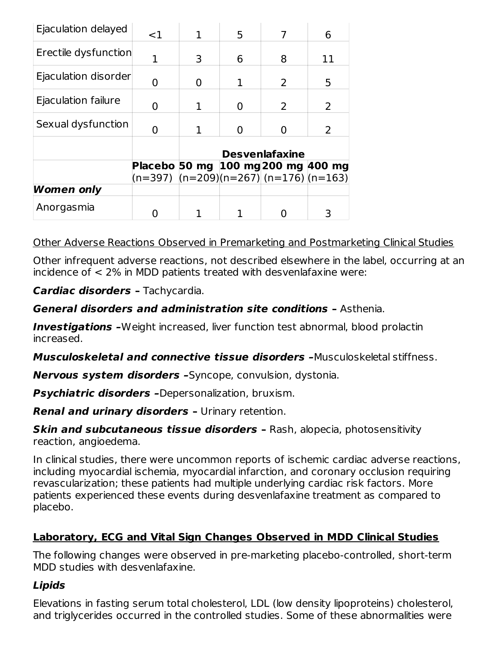| Ejaculation delayed  | <1                                 | 1 | 5 |                       | 6  |
|----------------------|------------------------------------|---|---|-----------------------|----|
| Erectile dysfunction | 1                                  | 3 | 6 | 8                     | 11 |
| Ejaculation disorder | O                                  | O | 1 | 2                     | 5  |
| Ejaculation failure  | O                                  | 1 | 0 | 2                     | 2  |
| Sexual dysfunction   | O                                  |   |   |                       | 2  |
|                      |                                    |   |   | <b>Desvenlafaxine</b> |    |
|                      | Placebo 50 mg 100 mg 200 mg 400 mg |   |   |                       |    |
|                      |                                    |   |   |                       |    |
| <b>Women only</b>    |                                    |   |   |                       |    |
| Anorgasmia           |                                    |   |   |                       | 3  |

Other Adverse Reactions Observed in Premarketing and Postmarketing Clinical Studies

Other infrequent adverse reactions, not described elsewhere in the label, occurring at an incidence of < 2% in MDD patients treated with desvenlafaxine were:

**Cardiac disorders –** Tachycardia.

**General disorders and administration site conditions –** Asthenia.

**Investigations –**Weight increased, liver function test abnormal, blood prolactin increased.

**Musculoskeletal and connective tissue disorders –**Musculoskeletal stiffness.

**Nervous system disorders –**Syncope, convulsion, dystonia.

**Psychiatric disorders –**Depersonalization, bruxism.

**Renal and urinary disorders –** Urinary retention.

**Skin and subcutaneous tissue disorders –** Rash, alopecia, photosensitivity reaction, angioedema.

In clinical studies, there were uncommon reports of ischemic cardiac adverse reactions, including myocardial ischemia, myocardial infarction, and coronary occlusion requiring revascularization; these patients had multiple underlying cardiac risk factors. More patients experienced these events during desvenlafaxine treatment as compared to placebo.

## **Laboratory, ECG and Vital Sign Changes Observed in MDD Clinical Studies**

The following changes were observed in pre-marketing placebo-controlled, short-term MDD studies with desvenlafaxine.

### **Lipids**

Elevations in fasting serum total cholesterol, LDL (low density lipoproteins) cholesterol, and triglycerides occurred in the controlled studies. Some of these abnormalities were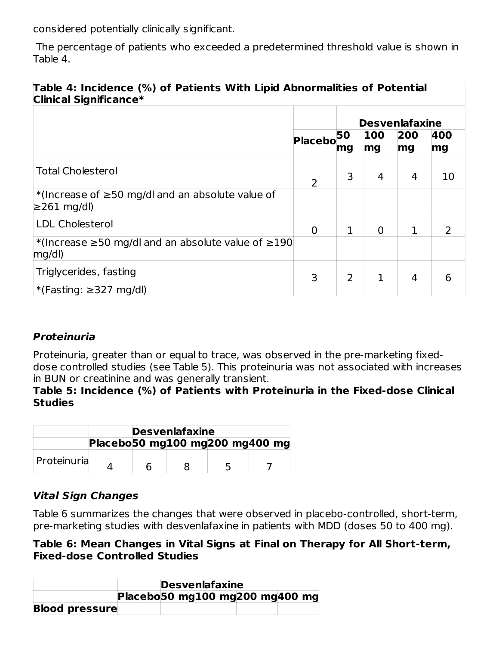considered potentially clinically significant.

The percentage of patients who exceeded a predetermined threshold value is shown in Table 4.

| <b>Clinical Significance*</b>                                           |                | <b>Desvenlafaxine</b> |           |              |               |  |
|-------------------------------------------------------------------------|----------------|-----------------------|-----------|--------------|---------------|--|
|                                                                         | Placebo        | 50<br>mg              | 100<br>mg | 200<br>mg    | 400<br>mg     |  |
| <b>Total Cholesterol</b>                                                | $\overline{2}$ | 3                     | 4         | 4            | 10            |  |
| *(Increase of $\geq$ 50 mg/dl and an absolute value of<br>$≥261$ mg/dl) |                |                       |           |              |               |  |
| <b>LDL Cholesterol</b>                                                  | $\Omega$       | $\mathbf{1}$          | $\Omega$  | $\mathbf{1}$ | $\mathcal{P}$ |  |
| *(Increase $\geq$ 50 mg/dl and an absolute value of $\geq$ 190<br>mg/dl |                |                       |           |              |               |  |
| Triglycerides, fasting                                                  | 3              | $\overline{2}$        | 1         | 4            | 6             |  |
| *(Fasting: $\geq$ 327 mg/dl)                                            |                |                       |           |              |               |  |

### **Proteinuria**

Proteinuria, greater than or equal to trace, was observed in the pre-marketing fixeddose controlled studies (see Table 5). This proteinuria was not associated with increases in BUN or creatinine and was generally transient.

#### **Table 5: Incidence (%) of Patients with Proteinuria in the Fixed-dose Clinical Studies**

|                    | <b>Desvenlafaxine</b>          |  |  |  |  |
|--------------------|--------------------------------|--|--|--|--|
|                    | Placebo50 mg100 mg200 mg400 mg |  |  |  |  |
| <b>Proteinuria</b> |                                |  |  |  |  |

### **Vital Sign Changes**

Table 6 summarizes the changes that were observed in placebo-controlled, short-term, pre-marketing studies with desvenlafaxine in patients with MDD (doses 50 to 400 mg).

### **Table 6: Mean Changes in Vital Signs at Final on Therapy for All Short-term, Fixed-dose Controlled Studies**

|                       | Desvenlafaxine                    |  |  |  |  |  |  |
|-----------------------|-----------------------------------|--|--|--|--|--|--|
|                       | Placebo50 mg 100 mg 200 mg 400 mg |  |  |  |  |  |  |
| <b>Blood pressure</b> |                                   |  |  |  |  |  |  |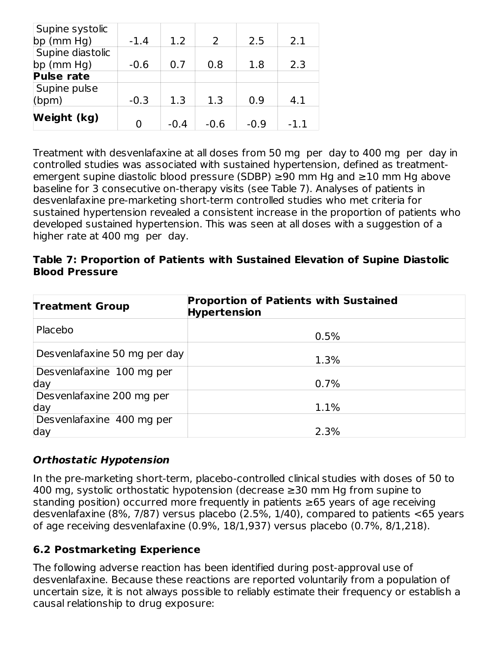| <b>Weight (kg)</b>    |        | $-0.4$ | $-0.6$        | $-0.9$ | $-1.1$ |
|-----------------------|--------|--------|---------------|--------|--------|
| Supine pulse<br>(bpm) | $-0.3$ | 1.3    | 1.3           | 0.9    | 4.1    |
| <b>Pulse rate</b>     |        |        |               |        |        |
| $bp$ (mm $Hg$ )       | $-0.6$ | 0.7    | 0.8           | 1.8    | 2.3    |
| Supine diastolic      |        |        |               |        |        |
| bp (mm Hg)            | $-1.4$ | 1.2    | $\mathcal{P}$ | 2.5    | 2.1    |
| Supine systolic       |        |        |               |        |        |

Treatment with desvenlafaxine at all doses from 50 mg per day to 400 mg per day in controlled studies was associated with sustained hypertension, defined as treatmentemergent supine diastolic blood pressure (SDBP) ≥90 mm Hg and ≥10 mm Hg above baseline for 3 consecutive on-therapy visits (see Table 7). Analyses of patients in desvenlafaxine pre-marketing short-term controlled studies who met criteria for sustained hypertension revealed a consistent increase in the proportion of patients who developed sustained hypertension. This was seen at all doses with a suggestion of a higher rate at 400 mg per day.

#### **Table 7: Proportion of Patients with Sustained Elevation of Supine Diastolic Blood Pressure**

| <b>Treatment Group</b>       | <b>Proportion of Patients with Sustained</b><br><b>Hypertension</b> |
|------------------------------|---------------------------------------------------------------------|
| Placebo                      | 0.5%                                                                |
| Desvenlafaxine 50 mg per day | 1.3%                                                                |
| Desvenlafaxine 100 mg per    |                                                                     |
| day                          | 0.7%                                                                |
| Desvenlafaxine 200 mg per    |                                                                     |
| day                          | 1.1%                                                                |
| Desvenlafaxine 400 mg per    |                                                                     |
| day                          | 2.3%                                                                |

### **Orthostatic Hypotension**

In the pre-marketing short-term, placebo-controlled clinical studies with doses of 50 to 400 mg, systolic orthostatic hypotension (decrease ≥30 mm Hg from supine to standing position) occurred more frequently in patients ≥65 years of age receiving desvenlafaxine (8%, 7/87) versus placebo (2.5%, 1/40), compared to patients <65 years of age receiving desvenlafaxine (0.9%, 18/1,937) versus placebo (0.7%, 8/1,218).

### **6.2 Postmarketing Experience**

The following adverse reaction has been identified during post-approval use of desvenlafaxine. Because these reactions are reported voluntarily from a population of uncertain size, it is not always possible to reliably estimate their frequency or establish a causal relationship to drug exposure: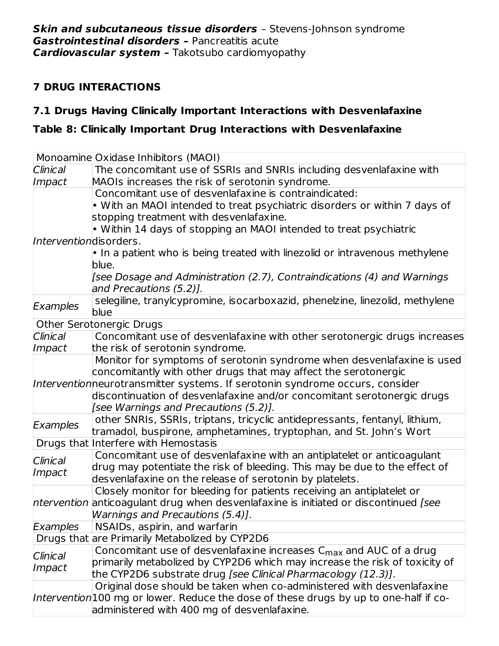## **7 DRUG INTERACTIONS**

## **7.1 Drugs Having Clinically Important Interactions with Desvenlafaxine**

## **Table 8: Clinically Important Drug Interactions with Desvenlafaxine**

|                                | Monoamine Oxidase Inhibitors (MAOI)                                                   |
|--------------------------------|---------------------------------------------------------------------------------------|
| Clinical                       | The concomitant use of SSRIs and SNRIs including desvenlafaxine with                  |
| <i>Impact</i>                  | MAOIs increases the risk of serotonin syndrome.                                       |
|                                | Concomitant use of desvenlafaxine is contraindicated:                                 |
|                                | • With an MAOI intended to treat psychiatric disorders or within 7 days of            |
|                                | stopping treatment with desvenlafaxine.                                               |
|                                | • Within 14 days of stopping an MAOI intended to treat psychiatric                    |
| <i>Intervention</i> disorders. |                                                                                       |
|                                | • In a patient who is being treated with linezolid or intravenous methylene           |
|                                | blue.                                                                                 |
|                                | [see Dosage and Administration (2.7), Contraindications (4) and Warnings              |
|                                | and Precautions (5.2)].                                                               |
| Examples                       | selegiline, tranylcypromine, isocarboxazid, phenelzine, linezolid, methylene<br>blue  |
|                                | Other Serotonergic Drugs                                                              |
| Clinical                       | Concomitant use of desvenlafaxine with other serotonergic drugs increases             |
| <i>Impact</i>                  | the risk of serotonin syndrome.                                                       |
|                                | Monitor for symptoms of serotonin syndrome when desvenlafaxine is used                |
|                                | concomitantly with other drugs that may affect the serotonergic                       |
|                                | Interventionneurotransmitter systems. If serotonin syndrome occurs, consider          |
|                                | discontinuation of desvenlafaxine and/or concomitant serotonergic drugs               |
|                                | [see Warnings and Precautions (5.2)].                                                 |
| <b>Examples</b>                | other SNRIs, SSRIs, triptans, tricyclic antidepressants, fentanyl, lithium,           |
|                                | tramadol, buspirone, amphetamines, tryptophan, and St. John's Wort                    |
|                                | Drugs that Interfere with Hemostasis                                                  |
| Clinical                       | Concomitant use of desvenlafaxine with an antiplatelet or anticoagulant               |
| <i>Impact</i>                  | drug may potentiate the risk of bleeding. This may be due to the effect of            |
|                                | desvenlafaxine on the release of serotonin by platelets.                              |
|                                | Closely monitor for bleeding for patients receiving an antiplatelet or                |
|                                | ntervention anticoagulant drug when desvenlafaxine is initiated or discontinued [see  |
|                                | <b>Warnings and Precautions (5.4)].</b>                                               |
| <b>Examples</b>                | NSAIDs, aspirin, and warfarin                                                         |
|                                | Drugs that are Primarily Metabolized by CYP2D6                                        |
| Clinical                       | Concomitant use of desvenlafaxine increases $C_{\text{max}}$ and AUC of a drug        |
| Impact                         | primarily metabolized by CYP2D6 which may increase the risk of toxicity of            |
|                                | the CYP2D6 substrate drug [see Clinical Pharmacology (12.3)].                         |
|                                | Original dose should be taken when co-administered with desvenlafaxine                |
|                                | Intervention 100 mg or lower. Reduce the dose of these drugs by up to one-half if co- |
|                                | administered with 400 mg of desvenlafaxine.                                           |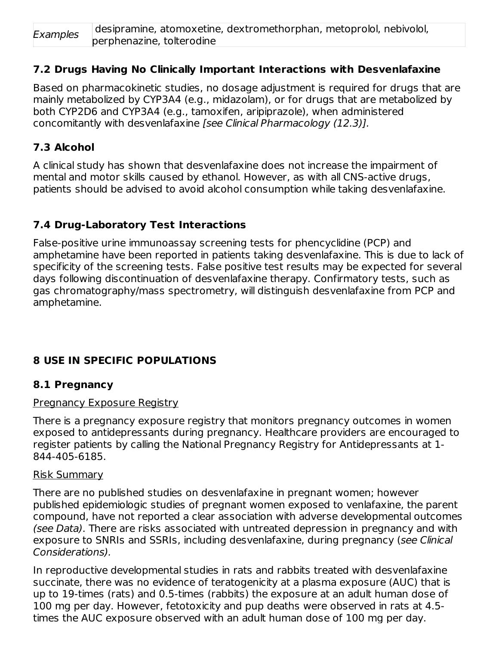| Examples | desipramine, atomoxetine, dextromethorphan, metoprolol, nebivolol, |  |
|----------|--------------------------------------------------------------------|--|
|          | perphenazine, tolterodine                                          |  |

#### **7.2 Drugs Having No Clinically Important Interactions with Desvenlafaxine**

Based on pharmacokinetic studies, no dosage adjustment is required for drugs that are mainly metabolized by CYP3A4 (e.g., midazolam), or for drugs that are metabolized by both CYP2D6 and CYP3A4 (e.g., tamoxifen, aripiprazole), when administered concomitantly with desvenlafaxine [see Clinical Pharmacology (12.3)].

### **7.3 Alcohol**

A clinical study has shown that desvenlafaxine does not increase the impairment of mental and motor skills caused by ethanol. However, as with all CNS-active drugs, patients should be advised to avoid alcohol consumption while taking desvenlafaxine.

### **7.4 Drug-Laboratory Test Interactions**

False-positive urine immunoassay screening tests for phencyclidine (PCP) and amphetamine have been reported in patients taking desvenlafaxine. This is due to lack of specificity of the screening tests. False positive test results may be expected for several days following discontinuation of desvenlafaxine therapy. Confirmatory tests, such as gas chromatography/mass spectrometry, will distinguish desvenlafaxine from PCP and amphetamine.

### **8 USE IN SPECIFIC POPULATIONS**

#### **8.1 Pregnancy**

#### Pregnancy Exposure Registry

There is a pregnancy exposure registry that monitors pregnancy outcomes in women exposed to antidepressants during pregnancy. Healthcare providers are encouraged to register patients by calling the National Pregnancy Registry for Antidepressants at 1- 844-405-6185.

#### Risk Summary

There are no published studies on desvenlafaxine in pregnant women; however published epidemiologic studies of pregnant women exposed to venlafaxine, the parent compound, have not reported a clear association with adverse developmental outcomes (see Data). There are risks associated with untreated depression in pregnancy and with exposure to SNRIs and SSRIs, including desvenlafaxine, during pregnancy (see Clinical Considerations).

In reproductive developmental studies in rats and rabbits treated with desvenlafaxine succinate, there was no evidence of teratogenicity at a plasma exposure (AUC) that is up to 19-times (rats) and 0.5-times (rabbits) the exposure at an adult human dose of 100 mg per day. However, fetotoxicity and pup deaths were observed in rats at 4.5 times the AUC exposure observed with an adult human dose of 100 mg per day.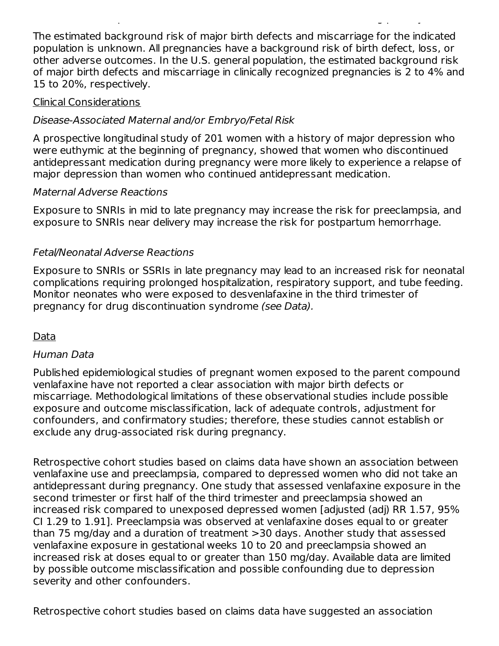The estimated background risk of major birth defects and miscarriage for the indicated population is unknown. All pregnancies have a background risk of birth defect, loss, or other adverse outcomes. In the U.S. general population, the estimated background risk of major birth defects and miscarriage in clinically recognized pregnancies is 2 to 4% and 15 to 20%, respectively.

times the AUC exposure observed with an adult human dose of 100 mg per day.

#### Clinical Considerations

### Disease-Associated Maternal and/or Embryo/Fetal Risk

A prospective longitudinal study of 201 women with a history of major depression who were euthymic at the beginning of pregnancy, showed that women who discontinued antidepressant medication during pregnancy were more likely to experience a relapse of major depression than women who continued antidepressant medication.

### Maternal Adverse Reactions

Exposure to SNRIs in mid to late pregnancy may increase the risk for preeclampsia, and exposure to SNRIs near delivery may increase the risk for postpartum hemorrhage.

### Fetal/Neonatal Adverse Reactions

Exposure to SNRIs or SSRIs in late pregnancy may lead to an increased risk for neonatal complications requiring prolonged hospitalization, respiratory support, and tube feeding. Monitor neonates who were exposed to desvenlafaxine in the third trimester of pregnancy for drug discontinuation syndrome (see Data).

### **Data**

### Human Data

Published epidemiological studies of pregnant women exposed to the parent compound venlafaxine have not reported a clear association with major birth defects or miscarriage. Methodological limitations of these observational studies include possible exposure and outcome misclassification, lack of adequate controls, adjustment for confounders, and confirmatory studies; therefore, these studies cannot establish or exclude any drug-associated risk during pregnancy.

Retrospective cohort studies based on claims data have shown an association between venlafaxine use and preeclampsia, compared to depressed women who did not take an antidepressant during pregnancy. One study that assessed venlafaxine exposure in the second trimester or first half of the third trimester and preeclampsia showed an increased risk compared to unexposed depressed women [adjusted (adj) RR 1.57, 95% CI 1.29 to 1.91]. Preeclampsia was observed at venlafaxine doses equal to or greater than 75 mg/day and a duration of treatment >30 days. Another study that assessed venlafaxine exposure in gestational weeks 10 to 20 and preeclampsia showed an increased risk at doses equal to or greater than 150 mg/day. Available data are limited by possible outcome misclassification and possible confounding due to depression severity and other confounders.

Retrospective cohort studies based on claims data have suggested an association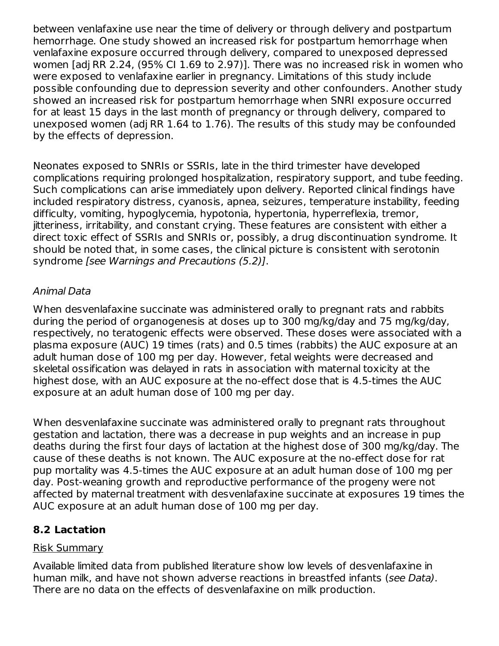between venlafaxine use near the time of delivery or through delivery and postpartum hemorrhage. One study showed an increased risk for postpartum hemorrhage when venlafaxine exposure occurred through delivery, compared to unexposed depressed women [adj RR 2.24, (95% CI 1.69 to 2.97)]. There was no increased risk in women who were exposed to venlafaxine earlier in pregnancy. Limitations of this study include possible confounding due to depression severity and other confounders. Another study showed an increased risk for postpartum hemorrhage when SNRI exposure occurred for at least 15 days in the last month of pregnancy or through delivery, compared to unexposed women (adj RR 1.64 to 1.76). The results of this study may be confounded by the effects of depression.

Neonates exposed to SNRIs or SSRIs, late in the third trimester have developed complications requiring prolonged hospitalization, respiratory support, and tube feeding. Such complications can arise immediately upon delivery. Reported clinical findings have included respiratory distress, cyanosis, apnea, seizures, temperature instability, feeding difficulty, vomiting, hypoglycemia, hypotonia, hypertonia, hyperreflexia, tremor, jitteriness, irritability, and constant crying. These features are consistent with either a direct toxic effect of SSRIs and SNRIs or, possibly, a drug discontinuation syndrome. It should be noted that, in some cases, the clinical picture is consistent with serotonin syndrome [see Warnings and Precautions (5.2)].

### Animal Data

When desvenlafaxine succinate was administered orally to pregnant rats and rabbits during the period of organogenesis at doses up to 300 mg/kg/day and 75 mg/kg/day, respectively, no teratogenic effects were observed. These doses were associated with a plasma exposure (AUC) 19 times (rats) and 0.5 times (rabbits) the AUC exposure at an adult human dose of 100 mg per day. However, fetal weights were decreased and skeletal ossification was delayed in rats in association with maternal toxicity at the highest dose, with an AUC exposure at the no-effect dose that is 4.5-times the AUC exposure at an adult human dose of 100 mg per day.

When desvenlafaxine succinate was administered orally to pregnant rats throughout gestation and lactation, there was a decrease in pup weights and an increase in pup deaths during the first four days of lactation at the highest dose of 300 mg/kg/day. The cause of these deaths is not known. The AUC exposure at the no-effect dose for rat pup mortality was 4.5-times the AUC exposure at an adult human dose of 100 mg per day. Post-weaning growth and reproductive performance of the progeny were not affected by maternal treatment with desvenlafaxine succinate at exposures 19 times the AUC exposure at an adult human dose of 100 mg per day.

### **8.2 Lactation**

### Risk Summary

Available limited data from published literature show low levels of desvenlafaxine in human milk, and have not shown adverse reactions in breastfed infants (see Data). There are no data on the effects of desvenlafaxine on milk production.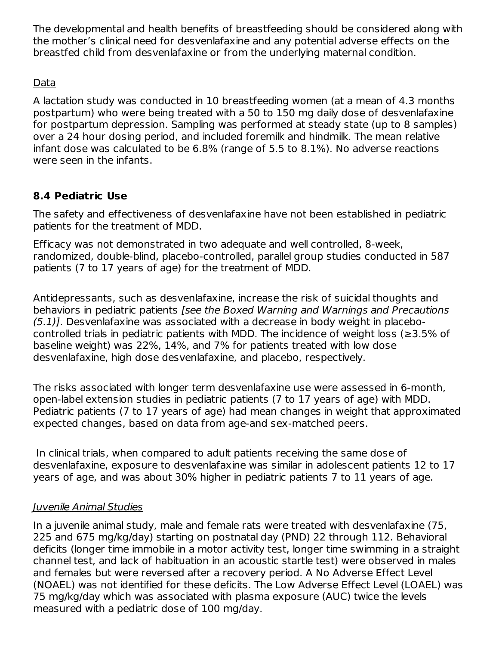The developmental and health benefits of breastfeeding should be considered along with the mother's clinical need for desvenlafaxine and any potential adverse effects on the breastfed child from desvenlafaxine or from the underlying maternal condition.

### Data

A lactation study was conducted in 10 breastfeeding women (at a mean of 4.3 months postpartum) who were being treated with a 50 to 150 mg daily dose of desvenlafaxine for postpartum depression. Sampling was performed at steady state (up to 8 samples) over a 24 hour dosing period, and included foremilk and hindmilk. The mean relative infant dose was calculated to be 6.8% (range of 5.5 to 8.1%). No adverse reactions were seen in the infants.

### **8.4 Pediatric Use**

The safety and effectiveness of desvenlafaxine have not been established in pediatric patients for the treatment of MDD.

Efficacy was not demonstrated in two adequate and well controlled, 8-week, randomized, double-blind, placebo-controlled, parallel group studies conducted in 587 patients (7 to 17 years of age) for the treatment of MDD.

Antidepressants, such as desvenlafaxine, increase the risk of suicidal thoughts and behaviors in pediatric patients [see the Boxed Warning and Warnings and Precautions (5.1)]. Desvenlafaxine was associated with a decrease in body weight in placebocontrolled trials in pediatric patients with MDD. The incidence of weight loss (≥3.5% of baseline weight) was 22%, 14%, and 7% for patients treated with low dose desvenlafaxine, high dose desvenlafaxine, and placebo, respectively.

The risks associated with longer term desvenlafaxine use were assessed in 6-month, open-label extension studies in pediatric patients (7 to 17 years of age) with MDD. Pediatric patients (7 to 17 years of age) had mean changes in weight that approximated expected changes, based on data from age-and sex-matched peers.

In clinical trials, when compared to adult patients receiving the same dose of desvenlafaxine, exposure to desvenlafaxine was similar in adolescent patients 12 to 17 years of age, and was about 30% higher in pediatric patients 7 to 11 years of age.

### Juvenile Animal Studies

In a juvenile animal study, male and female rats were treated with desvenlafaxine (75, 225 and 675 mg/kg/day) starting on postnatal day (PND) 22 through 112. Behavioral deficits (longer time immobile in a motor activity test, longer time swimming in a straight channel test, and lack of habituation in an acoustic startle test) were observed in males and females but were reversed after a recovery period. A No Adverse Effect Level (NOAEL) was not identified for these deficits. The Low Adverse Effect Level (LOAEL) was 75 mg/kg/day which was associated with plasma exposure (AUC) twice the levels measured with a pediatric dose of 100 mg/day.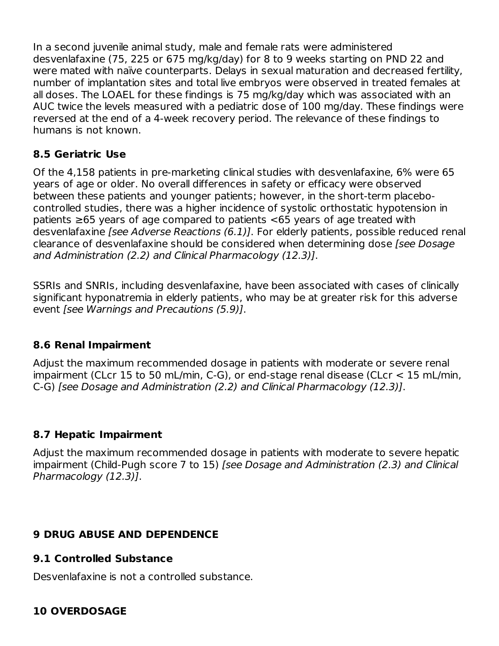In a second juvenile animal study, male and female rats were administered desvenlafaxine (75, 225 or 675 mg/kg/day) for 8 to 9 weeks starting on PND 22 and were mated with naïve counterparts. Delays in sexual maturation and decreased fertility, number of implantation sites and total live embryos were observed in treated females at all doses. The LOAEL for these findings is 75 mg/kg/day which was associated with an AUC twice the levels measured with a pediatric dose of 100 mg/day. These findings were reversed at the end of a 4-week recovery period. The relevance of these findings to humans is not known.

### **8.5 Geriatric Use**

Of the 4,158 patients in pre-marketing clinical studies with desvenlafaxine, 6% were 65 years of age or older. No overall differences in safety or efficacy were observed between these patients and younger patients; however, in the short-term placebocontrolled studies, there was a higher incidence of systolic orthostatic hypotension in patients ≥65 years of age compared to patients <65 years of age treated with desvenlafaxine [see Adverse Reactions (6.1)]. For elderly patients, possible reduced renal clearance of desvenlafaxine should be considered when determining dose [see Dosage and Administration (2.2) and Clinical Pharmacology (12.3)].

SSRIs and SNRIs, including desvenlafaxine, have been associated with cases of clinically significant hyponatremia in elderly patients, who may be at greater risk for this adverse event [see Warnings and Precautions (5.9)].

### **8.6 Renal Impairment**

Adjust the maximum recommended dosage in patients with moderate or severe renal impairment (CLcr 15 to 50 mL/min, C-G), or end-stage renal disease (CLcr < 15 mL/min, C-G) [see Dosage and Administration (2.2) and Clinical Pharmacology (12.3)].

### **8.7 Hepatic Impairment**

Adjust the maximum recommended dosage in patients with moderate to severe hepatic impairment (Child-Pugh score 7 to 15) [see Dosage and Administration (2.3) and Clinical Pharmacology (12.3)].

## **9 DRUG ABUSE AND DEPENDENCE**

### **9.1 Controlled Substance**

Desvenlafaxine is not a controlled substance.

## **10 OVERDOSAGE**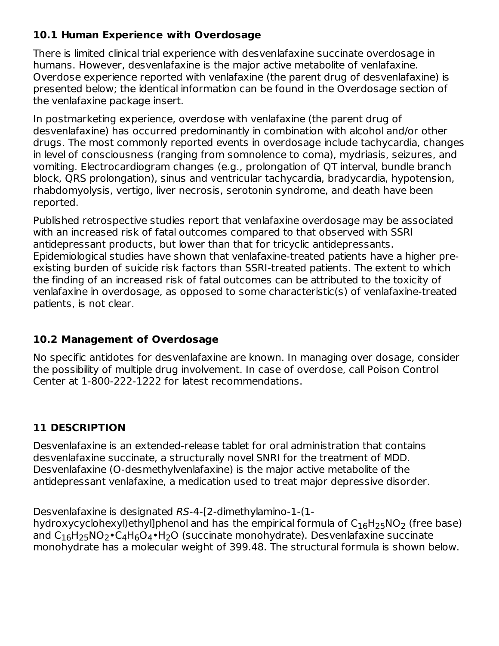## **10.1 Human Experience with Overdosage**

There is limited clinical trial experience with desvenlafaxine succinate overdosage in humans. However, desvenlafaxine is the major active metabolite of venlafaxine. Overdose experience reported with venlafaxine (the parent drug of desvenlafaxine) is presented below; the identical information can be found in the Overdosage section of the venlafaxine package insert.

In postmarketing experience, overdose with venlafaxine (the parent drug of desvenlafaxine) has occurred predominantly in combination with alcohol and/or other drugs. The most commonly reported events in overdosage include tachycardia, changes in level of consciousness (ranging from somnolence to coma), mydriasis, seizures, and vomiting. Electrocardiogram changes (e.g., prolongation of QT interval, bundle branch block, QRS prolongation), sinus and ventricular tachycardia, bradycardia, hypotension, rhabdomyolysis, vertigo, liver necrosis, serotonin syndrome, and death have been reported.

Published retrospective studies report that venlafaxine overdosage may be associated with an increased risk of fatal outcomes compared to that observed with SSRI antidepressant products, but lower than that for tricyclic antidepressants. Epidemiological studies have shown that venlafaxine-treated patients have a higher preexisting burden of suicide risk factors than SSRI-treated patients. The extent to which the finding of an increased risk of fatal outcomes can be attributed to the toxicity of venlafaxine in overdosage, as opposed to some characteristic(s) of venlafaxine-treated patients, is not clear.

## **10.2 Management of Overdosage**

No specific antidotes for desvenlafaxine are known. In managing over dosage, consider the possibility of multiple drug involvement. In case of overdose, call Poison Control Center at 1-800-222-1222 for latest recommendations.

## **11 DESCRIPTION**

Desvenlafaxine is an extended-release tablet for oral administration that contains desvenlafaxine succinate, a structurally novel SNRI for the treatment of MDD. Desvenlafaxine (O-desmethylvenlafaxine) is the major active metabolite of the antidepressant venlafaxine, a medication used to treat major depressive disorder.

Desvenlafaxine is designated RS-4-[2-dimethylamino-1-(1-

hydroxycyclohexyl)ethyl]phenol and has the empirical formula of  $\mathsf{C}_{16}\mathsf{H}_{25}\mathsf{NO}_{2}$  (free base) and C $_{16}$ H $_{25}$ NO $_{2}$ •C $_{4}$ H $_{6}$ O $_{4}$ •H $_{2}$ O (succinate monohydrate). Desvenlafaxine succinate monohydrate has a molecular weight of 399.48. The structural formula is shown below.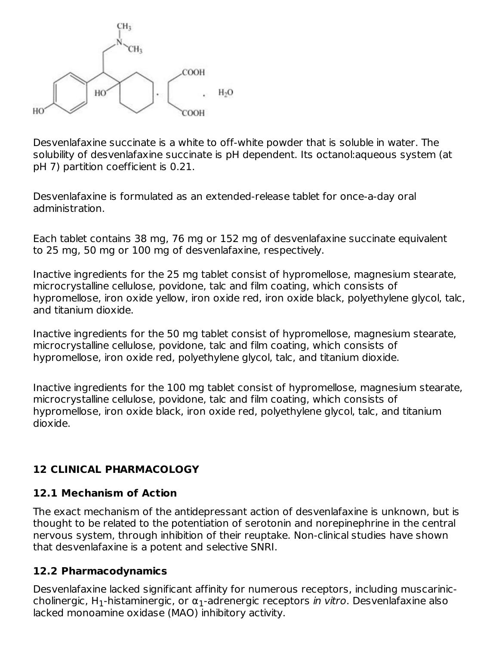

Desvenlafaxine succinate is a white to off-white powder that is soluble in water. The solubility of desvenlafaxine succinate is pH dependent. Its octanol:aqueous system (at pH 7) partition coefficient is 0.21.

Desvenlafaxine is formulated as an extended-release tablet for once-a-day oral administration.

Each tablet contains 38 mg, 76 mg or 152 mg of desvenlafaxine succinate equivalent to 25 mg, 50 mg or 100 mg of desvenlafaxine, respectively.

Inactive ingredients for the 25 mg tablet consist of hypromellose, magnesium stearate, microcrystalline cellulose, povidone, talc and film coating, which consists of hypromellose, iron oxide yellow, iron oxide red, iron oxide black, polyethylene glycol, talc, and titanium dioxide.

Inactive ingredients for the 50 mg tablet consist of hypromellose, magnesium stearate, microcrystalline cellulose, povidone, talc and film coating, which consists of hypromellose, iron oxide red, polyethylene glycol, talc, and titanium dioxide.

Inactive ingredients for the 100 mg tablet consist of hypromellose, magnesium stearate, microcrystalline cellulose, povidone, talc and film coating, which consists of hypromellose, iron oxide black, iron oxide red, polyethylene glycol, talc, and titanium dioxide.

### **12 CLINICAL PHARMACOLOGY**

### **12.1 Mechanism of Action**

The exact mechanism of the antidepressant action of desvenlafaxine is unknown, but is thought to be related to the potentiation of serotonin and norepinephrine in the central nervous system, through inhibition of their reuptake. Non-clinical studies have shown that desvenlafaxine is a potent and selective SNRI.

### **12.2 Pharmacodynamics**

Desvenlafaxine lacked significant affinity for numerous receptors, including muscariniccholinergic, H $_1$ -histaminergic, or  $\alpha_1$ -adrenergic receptors *in vitro*. Desvenlafaxine also lacked monoamine oxidase (MAO) inhibitory activity.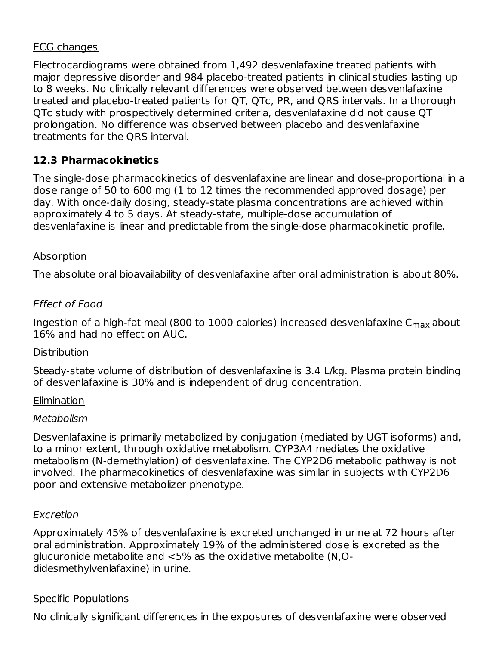### ECG changes

Electrocardiograms were obtained from 1,492 desvenlafaxine treated patients with major depressive disorder and 984 placebo-treated patients in clinical studies lasting up to 8 weeks. No clinically relevant differences were observed between desvenlafaxine treated and placebo-treated patients for QT, QTc, PR, and QRS intervals. In a thorough QTc study with prospectively determined criteria, desvenlafaxine did not cause QT prolongation. No difference was observed between placebo and desvenlafaxine treatments for the QRS interval.

### **12.3 Pharmacokinetics**

The single-dose pharmacokinetics of desvenlafaxine are linear and dose-proportional in a dose range of 50 to 600 mg (1 to 12 times the recommended approved dosage) per day. With once-daily dosing, steady-state plasma concentrations are achieved within approximately 4 to 5 days. At steady-state, multiple-dose accumulation of desvenlafaxine is linear and predictable from the single-dose pharmacokinetic profile.

#### **Absorption**

The absolute oral bioavailability of desvenlafaxine after oral administration is about 80%.

### Effect of Food

Ingestion of a high-fat meal (800 to 1000 calories) increased desvenlafaxine C $_{\sf max}$ about 16% and had no effect on AUC.

#### **Distribution**

Steady-state volume of distribution of desvenlafaxine is 3.4 L/kg. Plasma protein binding of desvenlafaxine is 30% and is independent of drug concentration.

#### Elimination

#### Metabolism

Desvenlafaxine is primarily metabolized by conjugation (mediated by UGT isoforms) and, to a minor extent, through oxidative metabolism. CYP3A4 mediates the oxidative metabolism (N-demethylation) of desvenlafaxine. The CYP2D6 metabolic pathway is not involved. The pharmacokinetics of desvenlafaxine was similar in subjects with CYP2D6 poor and extensive metabolizer phenotype.

#### Excretion

Approximately 45% of desvenlafaxine is excreted unchanged in urine at 72 hours after oral administration. Approximately 19% of the administered dose is excreted as the glucuronide metabolite and <5% as the oxidative metabolite (N,Odidesmethylvenlafaxine) in urine.

#### Specific Populations

No clinically significant differences in the exposures of desvenlafaxine were observed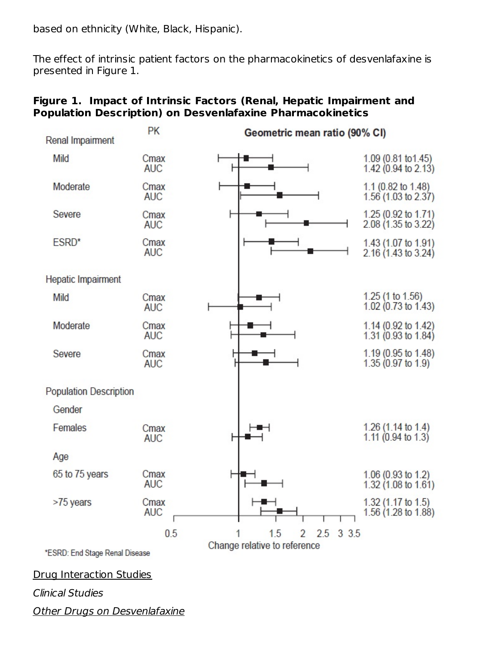based on ethnicity (White, Black, Hispanic).

The effect of intrinsic patient factors on the pharmacokinetics of desvenlafaxine is presented in Figure 1.



### **Figure 1. Impact of Intrinsic Factors (Renal, Hepatic Impairment and Population Description) on Desvenlafaxine Pharmacokinetics**

\*ESRD: End Stage Renal Disease

#### Drug Interaction Studies

Clinical Studies

Other Drugs on Desvenlafaxine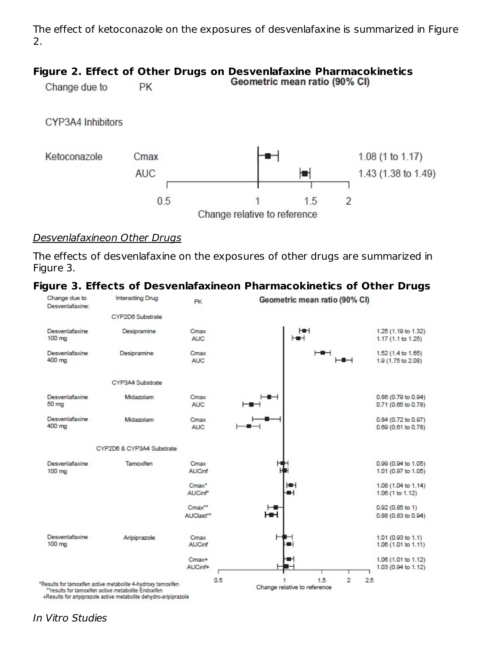The effect of ketoconazole on the exposures of desvenlafaxine is summarized in Figure 2.



#### Desvenlafaxineon Other Drugs

The effects of desvenlafaxine on the exposures of other drugs are summarized in Figure 3.

### **Figure 3. Effects of Desvenlafaxineon Pharmacokinetics of Other Drugs**



+Results for aripiprazole active metabolite dehydro-aripiprazole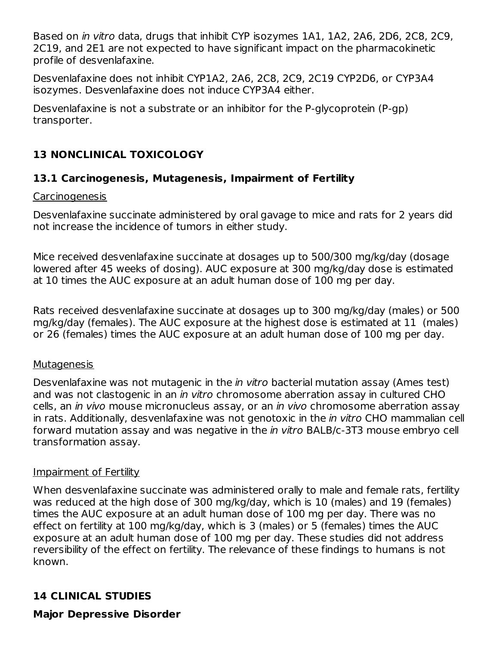Based on in vitro data, drugs that inhibit CYP isozymes 1A1, 1A2, 2A6, 2D6, 2C8, 2C9, 2C19, and 2E1 are not expected to have significant impact on the pharmacokinetic profile of desvenlafaxine.

Desvenlafaxine does not inhibit CYP1A2, 2A6, 2C8, 2C9, 2C19 CYP2D6, or CYP3A4 isozymes. Desvenlafaxine does not induce CYP3A4 either.

Desvenlafaxine is not a substrate or an inhibitor for the P-glycoprotein (P-gp) transporter.

## **13 NONCLINICAL TOXICOLOGY**

### **13.1 Carcinogenesis, Mutagenesis, Impairment of Fertility**

#### Carcinogenesis

Desvenlafaxine succinate administered by oral gavage to mice and rats for 2 years did not increase the incidence of tumors in either study.

Mice received desvenlafaxine succinate at dosages up to 500/300 mg/kg/day (dosage lowered after 45 weeks of dosing). AUC exposure at 300 mg/kg/day dose is estimated at 10 times the AUC exposure at an adult human dose of 100 mg per day.

Rats received desvenlafaxine succinate at dosages up to 300 mg/kg/day (males) or 500 mg/kg/day (females). The AUC exposure at the highest dose is estimated at 11 (males) or 26 (females) times the AUC exposure at an adult human dose of 100 mg per day.

### **Mutagenesis**

Desvenlafaxine was not mutagenic in the *in vitro* bacterial mutation assay (Ames test) and was not clastogenic in an *in vitro* chromosome aberration assay in cultured CHO cells, an in vivo mouse micronucleus assay, or an in vivo chromosome aberration assay in rats. Additionally, desvenlafaxine was not genotoxic in the *in vitro* CHO mammalian cell forward mutation assay and was negative in the *in vitro* BALB/c-3T3 mouse embryo cell transformation assay.

#### Impairment of Fertility

When desvenlafaxine succinate was administered orally to male and female rats, fertility was reduced at the high dose of 300 mg/kg/day, which is 10 (males) and 19 (females) times the AUC exposure at an adult human dose of 100 mg per day. There was no effect on fertility at 100 mg/kg/day, which is 3 (males) or 5 (females) times the AUC exposure at an adult human dose of 100 mg per day. These studies did not address reversibility of the effect on fertility. The relevance of these findings to humans is not known.

## **14 CLINICAL STUDIES**

### **Major Depressive Disorder**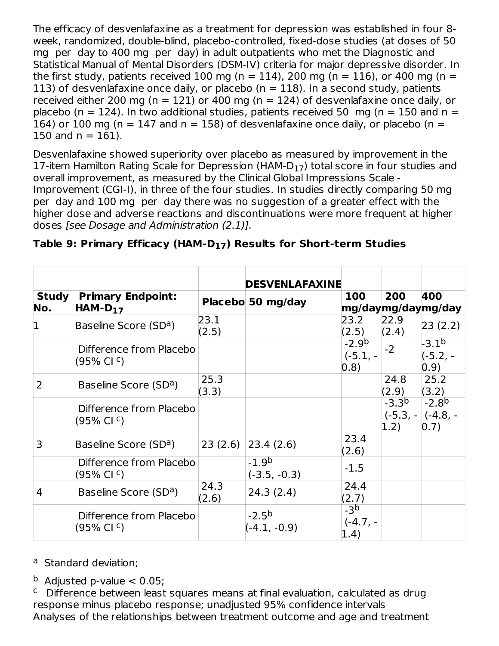The efficacy of desvenlafaxine as a treatment for depression was established in four 8 week, randomized, double-blind, placebo-controlled, fixed-dose studies (at doses of 50 mg per day to 400 mg per day) in adult outpatients who met the Diagnostic and Statistical Manual of Mental Disorders (DSM-IV) criteria for major depressive disorder. In the first study, patients received 100 mg (n = 114), 200 mg (n = 116), or 400 mg (n = 113) of desvenlafaxine once daily, or placebo ( $n = 118$ ). In a second study, patients received either 200 mg ( $n = 121$ ) or 400 mg ( $n = 124$ ) of desvenlafaxine once daily, or placebo (n = 124). In two additional studies, patients received 50 mg (n = 150 and n = 164) or 100 mg ( $n = 147$  and  $n = 158$ ) of desvenlafaxine once daily, or placebo ( $n =$ 150 and  $n = 161$ ).

Desvenlafaxine showed superiority over placebo as measured by improvement in the 17-item Hamilton Rating Scale for Depression (HAM-D $_{\rm 17}$ ) total score in four studies and overall improvement, as measured by the Clinical Global Impressions Scale - Improvement (CGI-I), in three of the four studies. In studies directly comparing 50 mg per day and 100 mg per day there was no suggestion of a greater effect with the higher dose and adverse reactions and discontinuations were more frequent at higher doses [see Dosage and Administration (2.1)].

|                |                                                   |               | <b>DESVENLAFAXINE</b>     |                               |                 |                                           |
|----------------|---------------------------------------------------|---------------|---------------------------|-------------------------------|-----------------|-------------------------------------------|
| <b>Study</b>   | <b>Primary Endpoint:</b>                          |               | Placebo 50 mg/day         | 100                           | 200             | 400                                       |
| No.            | $HAM-D_{17}$                                      |               |                           |                               |                 | mg/daymg/daymg/day                        |
| 1              | Baseline Score (SD <sup>a</sup> )                 | 23.1<br>(2.5) |                           | 23.2<br>(2.5)                 | 22.9<br>(2.4)   | 23(2.2)                                   |
|                | Difference from Placebo<br>(95% CI <sup>c</sup> ) |               |                           | $-2.9b$<br>$(-5.1,-$<br>(0.8) | $-2$            | $-3.1^b$<br>$(-5.2, -$<br>(0.9)           |
| $\overline{2}$ | Baseline Score (SD <sup>a</sup> )                 | 25.3<br>(3.3) |                           |                               | 24.8<br>(2.9)   | 25.2<br>(3.2)                             |
|                | Difference from Placebo<br>(95% CI <sup>c</sup> ) |               |                           |                               | $-3.3b$<br>1.2) | $-2.8b$<br>$(-5.3, -   (-4.8, -$<br>(0.7) |
| 3              | Baseline Score (SD <sup>a</sup> )                 | 23(2.6)       | 23.4(2.6)                 | 23.4<br>(2.6)                 |                 |                                           |
|                | Difference from Placebo<br>(95% CI <sup>c</sup> ) |               | $-1.9b$<br>$(-3.5, -0.3)$ | $-1.5$                        |                 |                                           |
| 4              | Baseline Score (SD <sup>a</sup> )                 | 24.3<br>(2.6) | 24.3(2.4)                 | 24.4<br>(2.7)                 |                 |                                           |
|                | Difference from Placebo<br>(95% CI <sup>c</sup> ) |               | $-2.5b$<br>$(-4.1, -0.9)$ | $-3p$<br>$(-4.7,-$<br>1.4)    |                 |                                           |

| Table 9: Primary Efficacy (HAM-D <sub>17</sub> ) Results for Short-term Studies |  |
|---------------------------------------------------------------------------------|--|
|---------------------------------------------------------------------------------|--|

<sup>a</sup> Standard deviation;

 $^{\rm b}$  Adjusted p-value  $< 0.05$ ;

<sup>c</sup> Difference between least squares means at final evaluation, calculated as drug response minus placebo response; unadjusted 95% confidence intervals Analyses of the relationships between treatment outcome and age and treatment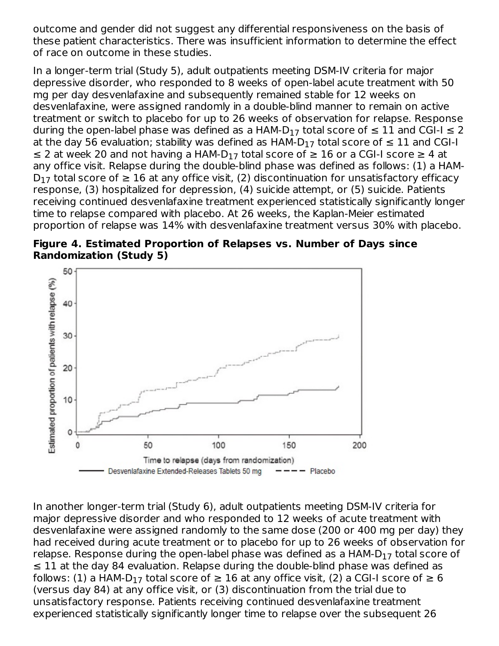outcome and gender did not suggest any differential responsiveness on the basis of these patient characteristics. There was insufficient information to determine the effect of race on outcome in these studies.

In a longer-term trial (Study 5), adult outpatients meeting DSM-IV criteria for major depressive disorder, who responded to 8 weeks of open-label acute treatment with 50 mg per day desvenlafaxine and subsequently remained stable for 12 weeks on desvenlafaxine, were assigned randomly in a double-blind manner to remain on active treatment or switch to placebo for up to 26 weeks of observation for relapse. Response during the open-label phase was defined as a HAM-D $_{17}$  total score of  $\leq 11$  and CGI-I  $\leq 2$ at the day 56 evaluation; stability was defined as  ${\sf HAM\text{-}D_{17}}$  total score of  $\le 11$  and CGI-I ≤ 2 at week 20 and not having a HAM-D<sub>17</sub> total score of ≥ 16 or a CGI-I score ≥ 4 at any office visit. Relapse during the double-blind phase was defined as follows: (1) a HAM-D<sub>17</sub> total score of  $\geq 16$  at any office visit, (2) discontinuation for unsatisfactory efficacy response, (3) hospitalized for depression, (4) suicide attempt, or (5) suicide. Patients receiving continued desvenlafaxine treatment experienced statistically significantly longer time to relapse compared with placebo. At 26 weeks, the Kaplan-Meier estimated proportion of relapse was 14% with desvenlafaxine treatment versus 30% with placebo.





In another longer-term trial (Study 6), adult outpatients meeting DSM-IV criteria for major depressive disorder and who responded to 12 weeks of acute treatment with desvenlafaxine were assigned randomly to the same dose (200 or 400 mg per day) they had received during acute treatment or to placebo for up to 26 weeks of observation for relapse. Response during the open-label phase was defined as a  ${\sf HAM}\text{-}\mathsf{D}_{17}$  total score of  $\leq$  11 at the day 84 evaluation. Relapse during the double-blind phase was defined as follows: (1) a HAM-D $_{17}$  total score of  $\geq 16$  at any office visit, (2) a CGI-I score of  $\geq 6$ (versus day 84) at any office visit, or (3) discontinuation from the trial due to unsatisfactory response. Patients receiving continued desvenlafaxine treatment experienced statistically significantly longer time to relapse over the subsequent 26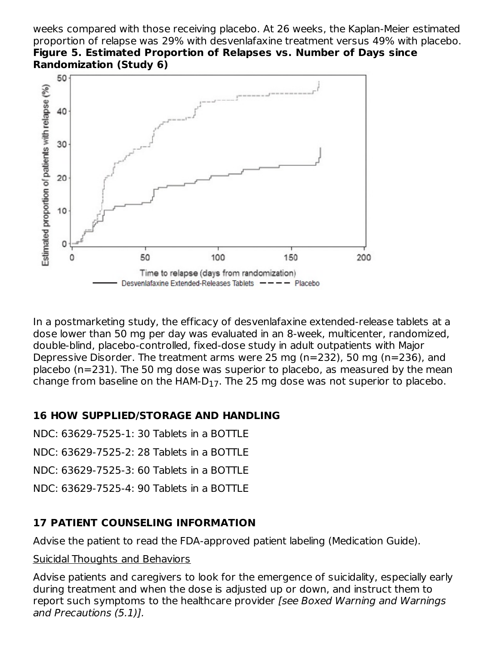weeks compared with those receiving placebo. At 26 weeks, the Kaplan-Meier estimated proportion of relapse was 29% with desvenlafaxine treatment versus 49% with placebo. **Figure 5. Estimated Proportion of Relapses vs. Number of Days since Randomization (Study 6)**



In a postmarketing study, the efficacy of desvenlafaxine extended-release tablets at a dose lower than 50 mg per day was evaluated in an 8-week, multicenter, randomized, double-blind, placebo-controlled, fixed-dose study in adult outpatients with Major Depressive Disorder. The treatment arms were 25 mg (n=232), 50 mg (n=236), and placebo (n=231). The 50 mg dose was superior to placebo, as measured by the mean change from baseline on the HAM-D $_{\rm 17}$ . The 25 mg dose was not superior to placebo.

### **16 HOW SUPPLIED/STORAGE AND HANDLING**

NDC: 63629-7525-1: 30 Tablets in a BOTTLE NDC: 63629-7525-2: 28 Tablets in a BOTTLE NDC: 63629-7525-3: 60 Tablets in a BOTTLE NDC: 63629-7525-4: 90 Tablets in a BOTTLE

## **17 PATIENT COUNSELING INFORMATION**

Advise the patient to read the FDA-approved patient labeling (Medication Guide).

### Suicidal Thoughts and Behaviors

Advise patients and caregivers to look for the emergence of suicidality, especially early during treatment and when the dose is adjusted up or down, and instruct them to report such symptoms to the healthcare provider [see Boxed Warning and Warnings and Precautions (5.1)].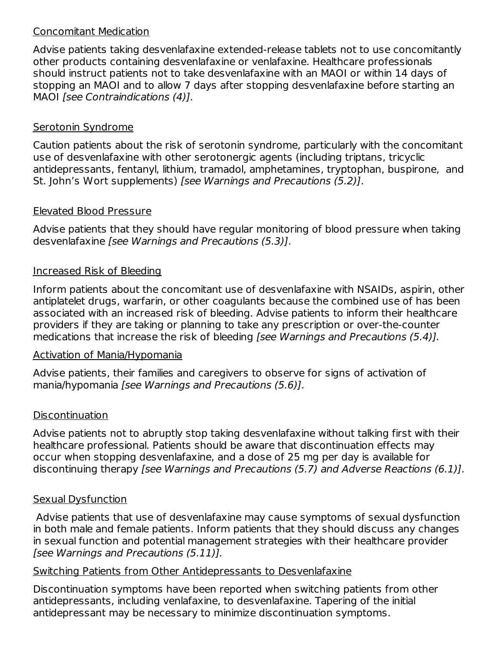#### Concomitant Medication

Advise patients taking desvenlafaxine extended-release tablets not to use concomitantly other products containing desvenlafaxine or venlafaxine. Healthcare professionals should instruct patients not to take desvenlafaxine with an MAOI or within 14 days of stopping an MAOI and to allow 7 days after stopping desvenlafaxine before starting an MAOI [see Contraindications (4)].

### Serotonin Syndrome

Caution patients about the risk of serotonin syndrome, particularly with the concomitant use of desvenlafaxine with other serotonergic agents (including triptans, tricyclic antidepressants, fentanyl, lithium, tramadol, amphetamines, tryptophan, buspirone, and St. John's Wort supplements) [see Warnings and Precautions (5.2)].

#### Elevated Blood Pressure

Advise patients that they should have regular monitoring of blood pressure when taking desvenlafaxine [see Warnings and Precautions (5.3)].

#### Increased Risk of Bleeding

Inform patients about the concomitant use of desvenlafaxine with NSAIDs, aspirin, other antiplatelet drugs, warfarin, or other coagulants because the combined use of has been associated with an increased risk of bleeding. Advise patients to inform their healthcare providers if they are taking or planning to take any prescription or over-the-counter medications that increase the risk of bleeding [see Warnings and Precautions (5.4)].

#### Activation of Mania/Hypomania

Advise patients, their families and caregivers to observe for signs of activation of mania/hypomania [see Warnings and Precautions (5.6)].

### Discontinuation

Advise patients not to abruptly stop taking desvenlafaxine without talking first with their healthcare professional. Patients should be aware that discontinuation effects may occur when stopping desvenlafaxine, and a dose of 25 mg per day is available for discontinuing therapy [see Warnings and Precautions (5.7) and Adverse Reactions (6.1)].

### Sexual Dysfunction

Advise patients that use of desvenlafaxine may cause symptoms of sexual dysfunction in both male and female patients. Inform patients that they should discuss any changes in sexual function and potential management strategies with their healthcare provider [see Warnings and Precautions (5.11)].

### Switching Patients from Other Antidepressants to Desvenlafaxine

Discontinuation symptoms have been reported when switching patients from other antidepressants, including venlafaxine, to desvenlafaxine. Tapering of the initial antidepressant may be necessary to minimize discontinuation symptoms.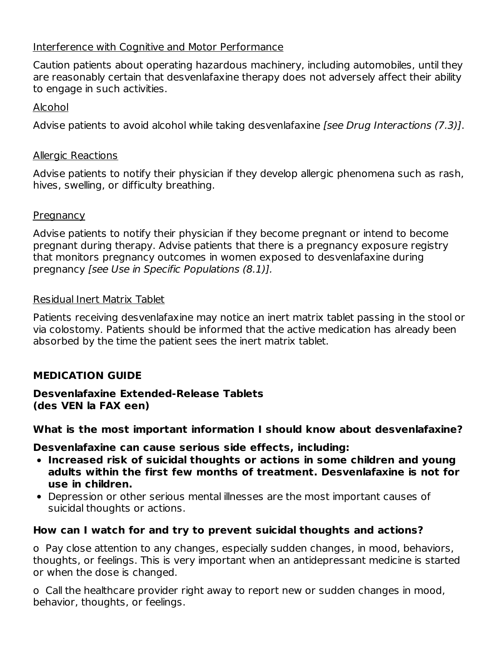### Interference with Cognitive and Motor Performance

Caution patients about operating hazardous machinery, including automobiles, until they are reasonably certain that desvenlafaxine therapy does not adversely affect their ability to engage in such activities.

### Alcohol

Advise patients to avoid alcohol while taking desvenlafaxine [see Drug Interactions (7.3)].

### Allergic Reactions

Advise patients to notify their physician if they develop allergic phenomena such as rash, hives, swelling, or difficulty breathing.

### **Pregnancy**

Advise patients to notify their physician if they become pregnant or intend to become pregnant during therapy. Advise patients that there is a pregnancy exposure registry that monitors pregnancy outcomes in women exposed to desvenlafaxine during pregnancy [see Use in Specific Populations (8.1)].

### Residual Inert Matrix Tablet

Patients receiving desvenlafaxine may notice an inert matrix tablet passing in the stool or via colostomy. Patients should be informed that the active medication has already been absorbed by the time the patient sees the inert matrix tablet.

### **MEDICATION GUIDE**

**Desvenlafaxine Extended-Release Tablets (des VEN la FAX een)**

**What is the most important information I should know about desvenlafaxine?**

**Desvenlafaxine can cause serious side effects, including:**

- **Increased risk of suicidal thoughts or actions in some children and young adults within the first few months of treatment. Desvenlafaxine is not for use in children.**
- Depression or other serious mental illnesses are the most important causes of suicidal thoughts or actions.

### **How can I watch for and try to prevent suicidal thoughts and actions?**

o Pay close attention to any changes, especially sudden changes, in mood, behaviors, thoughts, or feelings. This is very important when an antidepressant medicine is started or when the dose is changed.

o Call the healthcare provider right away to report new or sudden changes in mood, behavior, thoughts, or feelings.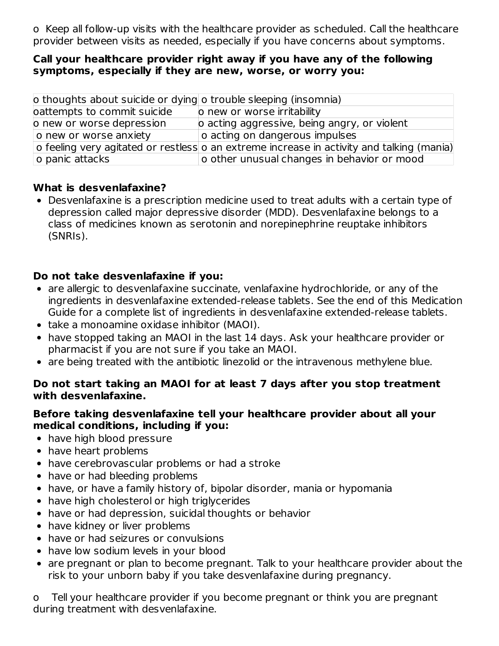o Keep all follow-up visits with the healthcare provider as scheduled. Call the healthcare provider between visits as needed, especially if you have concerns about symptoms.

#### **Call your healthcare provider right away if you have any of the following symptoms, especially if they are new, worse, or worry you:**

| o thoughts about suicide or dying o trouble sleeping (insomnia) |                                                                                                           |  |  |  |  |
|-----------------------------------------------------------------|-----------------------------------------------------------------------------------------------------------|--|--|--|--|
| oattempts to commit suicide                                     | o new or worse irritability                                                                               |  |  |  |  |
| o new or worse depression                                       | lo acting aggressive, being angry, or violent                                                             |  |  |  |  |
| o new or worse anxiety                                          | o acting on dangerous impulses                                                                            |  |  |  |  |
|                                                                 | $\vert$ o feeling very agitated or restless $\vert$ o an extreme increase in activity and talking (mania) |  |  |  |  |
| o panic attacks                                                 | o other unusual changes in behavior or mood                                                               |  |  |  |  |

### **What is desvenlafaxine?**

Desvenlafaxine is a prescription medicine used to treat adults with a certain type of depression called major depressive disorder (MDD). Desvenlafaxine belongs to a class of medicines known as serotonin and norepinephrine reuptake inhibitors (SNRIs).

## **Do not take desvenlafaxine if you:**

- are allergic to desvenlafaxine succinate, venlafaxine hydrochloride, or any of the ingredients in desvenlafaxine extended-release tablets. See the end of this Medication Guide for a complete list of ingredients in desvenlafaxine extended-release tablets.
- take a monoamine oxidase inhibitor (MAOI).
- have stopped taking an MAOI in the last 14 days. Ask your healthcare provider or pharmacist if you are not sure if you take an MAOI.
- are being treated with the antibiotic linezolid or the intravenous methylene blue.

### **Do not start taking an MAOI for at least 7 days after you stop treatment with desvenlafaxine.**

### **Before taking desvenlafaxine tell your healthcare provider about all your medical conditions, including if you:**

- have high blood pressure
- have heart problems
- have cerebrovascular problems or had a stroke
- have or had bleeding problems
- have, or have a family history of, bipolar disorder, mania or hypomania
- have high cholesterol or high triglycerides
- have or had depression, suicidal thoughts or behavior
- have kidney or liver problems
- have or had seizures or convulsions
- have low sodium levels in your blood
- are pregnant or plan to become pregnant. Talk to your healthcare provider about the risk to your unborn baby if you take desvenlafaxine during pregnancy.

o Tell your healthcare provider if you become pregnant or think you are pregnant during treatment with desvenlafaxine.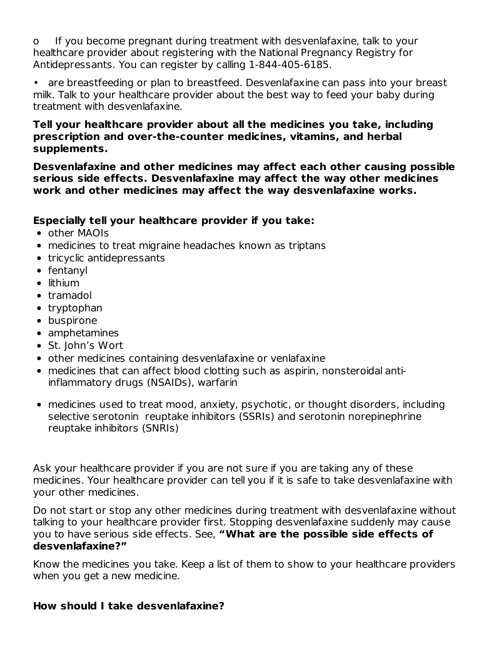o If you become pregnant during treatment with desvenlafaxine, talk to your healthcare provider about registering with the National Pregnancy Registry for Antidepressants. You can register by calling 1-844-405-6185.

• are breastfeeding or plan to breastfeed. Desvenlafaxine can pass into your breast milk. Talk to your healthcare provider about the best way to feed your baby during treatment with desvenlafaxine.

**Tell your healthcare provider about all the medicines you take, including prescription and over-the-counter medicines, vitamins, and herbal supplements.**

**Desvenlafaxine and other medicines may affect each other causing possible serious side effects. Desvenlafaxine may affect the way other medicines work and other medicines may affect the way desvenlafaxine works.**

### **Especially tell your healthcare provider if you take:**

- other MAOIs
- medicines to treat migraine headaches known as triptans
- tricyclic antidepressants
- fentanyl
- lithium
- tramadol
- tryptophan
- buspirone
- amphetamines
- St. John's Wort
- other medicines containing desvenlafaxine or venlafaxine
- medicines that can affect blood clotting such as aspirin, nonsteroidal antiinflammatory drugs (NSAIDs), warfarin
- medicines used to treat mood, anxiety, psychotic, or thought disorders, including selective serotonin reuptake inhibitors (SSRIs) and serotonin norepinephrine reuptake inhibitors (SNRIs)

Ask your healthcare provider if you are not sure if you are taking any of these medicines. Your healthcare provider can tell you if it is safe to take desvenlafaxine with your other medicines.

Do not start or stop any other medicines during treatment with desvenlafaxine without talking to your healthcare provider first. Stopping desvenlafaxine suddenly may cause you to have serious side effects. See, **"What are the possible side effects of desvenlafaxine?"**

Know the medicines you take. Keep a list of them to show to your healthcare providers when you get a new medicine.

#### **How should I take desvenlafaxine?**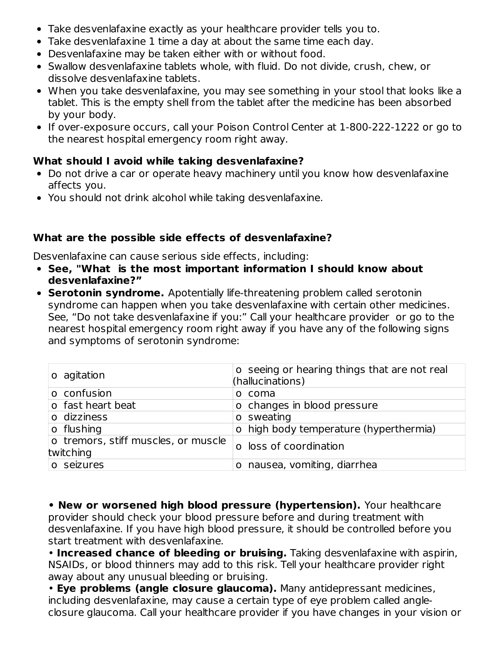- Take desvenlafaxine exactly as your healthcare provider tells you to.
- Take desvenlafaxine 1 time a day at about the same time each day.
- Desvenlafaxine may be taken either with or without food.
- Swallow desvenlafaxine tablets whole, with fluid. Do not divide, crush, chew, or dissolve desvenlafaxine tablets.
- When you take desvenlafaxine, you may see something in your stool that looks like a tablet. This is the empty shell from the tablet after the medicine has been absorbed by your body.
- If over-exposure occurs, call your Poison Control Center at 1-800-222-1222 or go to the nearest hospital emergency room right away.

### **What should I avoid while taking desvenlafaxine?**

- Do not drive a car or operate heavy machinery until you know how desvenlafaxine affects you.
- You should not drink alcohol while taking desvenlafaxine.

### **What are the possible side effects of desvenlafaxine?**

Desvenlafaxine can cause serious side effects, including:

- **See, "What is the most important information I should know about desvenlafaxine?"**
- **Serotonin syndrome.** Apotentially life-threatening problem called serotonin syndrome can happen when you take desvenlafaxine with certain other medicines. See, "Do not take desvenlafaxine if you:" Call your healthcare provider or go to the nearest hospital emergency room right away if you have any of the following signs and symptoms of serotonin syndrome:

| o agitation                                      | o seeing or hearing things that are not real<br>(hallucinations) |
|--------------------------------------------------|------------------------------------------------------------------|
| o confusion                                      | coma                                                             |
| o fast heart beat                                | o changes in blood pressure                                      |
| o dizziness                                      | sweating<br>0                                                    |
| o flushing                                       | o high body temperature (hyperthermia)                           |
| o tremors, stiff muscles, or muscle<br>twitching | loss of coordination<br>$\Omega$                                 |
| o seizures                                       | nausea, vomiting, diarrhea<br>O                                  |

**• New or worsened high blood pressure (hypertension).** Your healthcare provider should check your blood pressure before and during treatment with desvenlafaxine. If you have high blood pressure, it should be controlled before you start treatment with desvenlafaxine.

• **Increased chance of bleeding or bruising.** Taking desvenlafaxine with aspirin, NSAIDs, or blood thinners may add to this risk. Tell your healthcare provider right away about any unusual bleeding or bruising.

• **Eye problems (angle closure glaucoma).** Many antidepressant medicines, including desvenlafaxine, may cause a certain type of eye problem called angleclosure glaucoma. Call your healthcare provider if you have changes in your vision or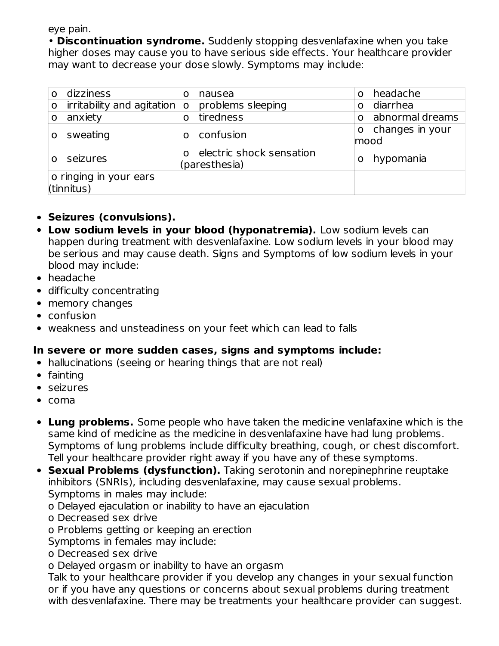#### eye pain.

• **Discontinuation syndrome.** Suddenly stopping desvenlafaxine when you take higher doses may cause you to have serious side effects. Your healthcare provider may want to decrease your dose slowly. Symptoms may include:

|                        | dizziness                        | nausea<br>O                               | O | headache                |
|------------------------|----------------------------------|-------------------------------------------|---|-------------------------|
| O                      | $irritability$ and agitation $ $ | problems sleeping<br>$\Omega$             | 0 | diarrhea                |
|                        | anxiety                          | tiredness<br>O                            | O | abnormal dreams         |
| O                      | sweating                         | confusion<br>O                            | O | changes in your<br>mood |
| Ο                      | seizures                         | electric shock sensation<br>(paresthesia) | 0 | hypomania               |
| o ringing in your ears |                                  |                                           |   |                         |
|                        | (tinnitus)                       |                                           |   |                         |

- **Seizures (convulsions).**
- **Low sodium levels in your blood (hyponatremia).** Low sodium levels can happen during treatment with desvenlafaxine. Low sodium levels in your blood may be serious and may cause death. Signs and Symptoms of low sodium levels in your blood may include:
- headache
- difficulty concentrating
- memory changes
- confusion
- weakness and unsteadiness on your feet which can lead to falls

### **In severe or more sudden cases, signs and symptoms include:**

- hallucinations (seeing or hearing things that are not real)
- fainting
- seizures
- coma
- **Lung problems.** Some people who have taken the medicine venlafaxine which is the same kind of medicine as the medicine in desvenlafaxine have had lung problems. Symptoms of lung problems include difficulty breathing, cough, or chest discomfort. Tell your healthcare provider right away if you have any of these symptoms.
- **Sexual Problems (dysfunction).** Taking serotonin and norepinephrine reuptake inhibitors (SNRIs), including desvenlafaxine, may cause sexual problems. Symptoms in males may include:
	- o Delayed ejaculation or inability to have an ejaculation
	- o Decreased sex drive
	- o Problems getting or keeping an erection

Symptoms in females may include:

- o Decreased sex drive
- o Delayed orgasm or inability to have an orgasm

Talk to your healthcare provider if you develop any changes in your sexual function or if you have any questions or concerns about sexual problems during treatment with desvenlafaxine. There may be treatments your healthcare provider can suggest.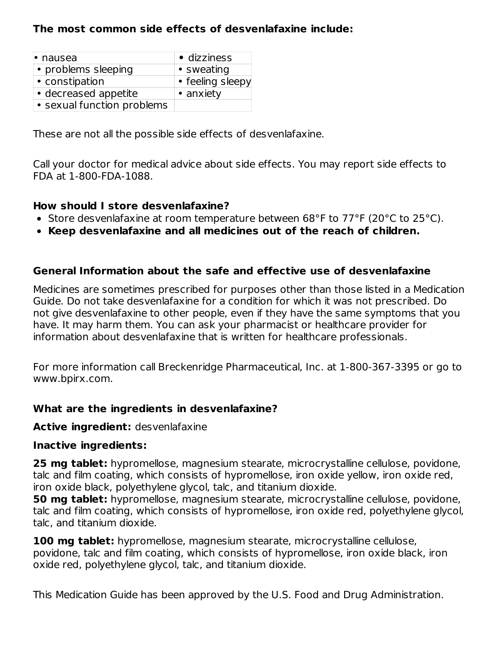### **The most common side effects of desvenlafaxine include:**

| l• nausea                  | • dizziness      |
|----------------------------|------------------|
| • problems sleeping        | • sweating       |
| • constipation             | • feeling sleepy |
| • decreased appetite       | • anxiety        |
| • sexual function problems |                  |

These are not all the possible side effects of desvenlafaxine.

Call your doctor for medical advice about side effects. You may report side effects to FDA at 1-800-FDA-1088.

### **How should I store desvenlafaxine?**

- Store desvenlafaxine at room temperature between 68°F to 77°F (20°C to 25°C).
- **Keep desvenlafaxine and all medicines out of the reach of children.**

### **General Information about the safe and effective use of desvenlafaxine**

Medicines are sometimes prescribed for purposes other than those listed in a Medication Guide. Do not take desvenlafaxine for a condition for which it was not prescribed. Do not give desvenlafaxine to other people, even if they have the same symptoms that you have. It may harm them. You can ask your pharmacist or healthcare provider for information about desvenlafaxine that is written for healthcare professionals.

For more information call Breckenridge Pharmaceutical, Inc. at 1-800-367-3395 or go to www.bpirx.com.

### **What are the ingredients in desvenlafaxine?**

### **Active ingredient:** desvenlafaxine

### **Inactive ingredients:**

**25 mg tablet:** hypromellose, magnesium stearate, microcrystalline cellulose, povidone, talc and film coating, which consists of hypromellose, iron oxide yellow, iron oxide red, iron oxide black, polyethylene glycol, talc, and titanium dioxide.

**50 mg tablet:** hypromellose, magnesium stearate, microcrystalline cellulose, povidone, talc and film coating, which consists of hypromellose, iron oxide red, polyethylene glycol, talc, and titanium dioxide.

**100 mg tablet:** hypromellose, magnesium stearate, microcrystalline cellulose, povidone, talc and film coating, which consists of hypromellose, iron oxide black, iron oxide red, polyethylene glycol, talc, and titanium dioxide.

This Medication Guide has been approved by the U.S. Food and Drug Administration.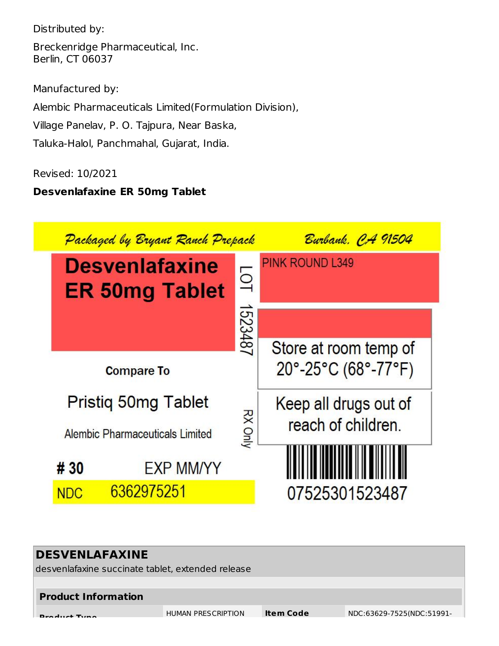Distributed by:

Breckenridge Pharmaceutical, Inc. Berlin, CT 06037

Manufactured by: Alembic Pharmaceuticals Limited(Formulation Division), Village Panelav, P. O. Tajpura, Near Baska, Taluka-Halol, Panchmahal, Gujarat, India.

Revised: 10/2021

## **Desvenlafaxine ER 50mg Tablet**

|                     | Packaged by Bryant Ranch Prepack               |                | Burbank. CA 91504             |
|---------------------|------------------------------------------------|----------------|-------------------------------|
|                     | <b>Desvenlafaxine</b><br><b>ER 50mg Tablet</b> | $\overline{O}$ | <b>PINK ROUND L349</b>        |
|                     |                                                | 1523487        |                               |
|                     |                                                |                | Store at room temp of         |
| <b>Compare To</b>   |                                                |                | $20^{\circ}$ -25°C (68°-77°F) |
| Pristig 50mg Tablet |                                                |                | Keep all drugs out of         |
|                     | <b>Alembic Pharmaceuticals Limited</b>         | <b>RX Only</b> | reach of children.            |
| # 30                | <b>EXP MM/YY</b>                               |                |                               |
| <b>NDC</b>          | 6362975251                                     |                | 07525301523487                |

| <b>DESVENLAFAXINE</b><br>desvenlafaxine succinate tablet, extended release |                           |                  |                           |
|----------------------------------------------------------------------------|---------------------------|------------------|---------------------------|
| <b>Product Information</b>                                                 |                           |                  |                           |
| Box durch Trees                                                            | <b>HUMAN PRESCRIPTION</b> | <b>Item Code</b> | NDC:63629-7525(NDC:51991- |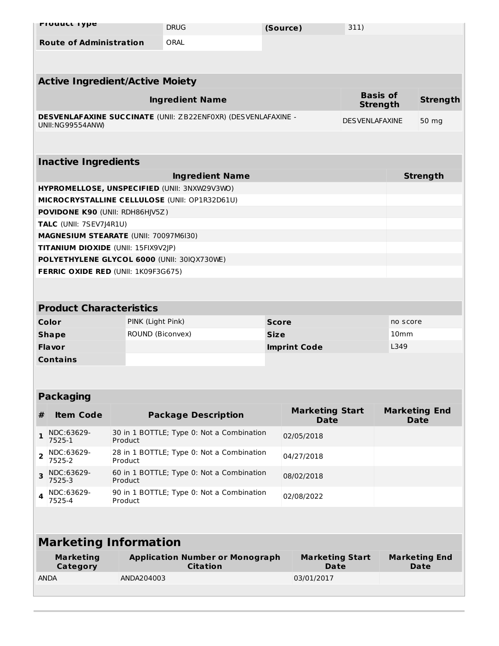| <b>Product Type</b>                                                                     |                                                                                 | <b>DRUG</b>                                                          | (Source)            |                                       | 311)                  |                  |                                     |
|-----------------------------------------------------------------------------------------|---------------------------------------------------------------------------------|----------------------------------------------------------------------|---------------------|---------------------------------------|-----------------------|------------------|-------------------------------------|
| <b>Route of Administration</b>                                                          |                                                                                 | ORAL                                                                 |                     |                                       |                       |                  |                                     |
|                                                                                         |                                                                                 |                                                                      |                     |                                       |                       |                  |                                     |
|                                                                                         |                                                                                 |                                                                      |                     |                                       |                       |                  |                                     |
| <b>Active Ingredient/Active Moiety</b>                                                  |                                                                                 |                                                                      |                     |                                       |                       |                  |                                     |
|                                                                                         | <b>Basis of</b><br><b>Ingredient Name</b><br><b>Strength</b><br><b>Strength</b> |                                                                      |                     |                                       |                       |                  |                                     |
| UNII: NG99554ANW)                                                                       |                                                                                 | <b>DESVENLAFAXINE SUCCINATE (UNII: ZB22ENFOXR) (DESVENLAFAXINE -</b> |                     |                                       | <b>DESVENLAFAXINE</b> |                  | 50 mg                               |
|                                                                                         |                                                                                 |                                                                      |                     |                                       |                       |                  |                                     |
| <b>Inactive Ingredients</b>                                                             |                                                                                 |                                                                      |                     |                                       |                       |                  |                                     |
|                                                                                         |                                                                                 | <b>Ingredient Name</b>                                               |                     |                                       |                       |                  | <b>Strength</b>                     |
| HYPROMELLOSE, UNSPECIFIED (UNII: 3NXW29V3WO)                                            |                                                                                 |                                                                      |                     |                                       |                       |                  |                                     |
| MICROCRYSTALLINE CELLULOSE (UNII: OP1R32D61U)<br><b>POVIDONE K90 (UNII: RDH86HJV5Z)</b> |                                                                                 |                                                                      |                     |                                       |                       |                  |                                     |
| TALC (UNII: 7SEV7J4R1U)                                                                 |                                                                                 |                                                                      |                     |                                       |                       |                  |                                     |
| MAGNESIUM STEARATE (UNII: 70097M6I30)                                                   |                                                                                 |                                                                      |                     |                                       |                       |                  |                                     |
| TITANIUM DIOXIDE (UNII: 15FIX9V2JP)                                                     |                                                                                 |                                                                      |                     |                                       |                       |                  |                                     |
| POLYETHYLENE GLYCOL 6000 (UNII: 30IQX730WE)                                             |                                                                                 |                                                                      |                     |                                       |                       |                  |                                     |
| FERRIC OXIDE RED (UNII: 1K09F3G675)                                                     |                                                                                 |                                                                      |                     |                                       |                       |                  |                                     |
|                                                                                         |                                                                                 |                                                                      |                     |                                       |                       |                  |                                     |
| <b>Product Characteristics</b>                                                          |                                                                                 |                                                                      |                     |                                       |                       |                  |                                     |
| Color                                                                                   | PINK (Light Pink)<br><b>Score</b><br>no score                                   |                                                                      |                     |                                       |                       |                  |                                     |
| <b>Shape</b>                                                                            | ROUND (Biconvex)<br><b>Size</b>                                                 |                                                                      |                     |                                       |                       | 10 <sub>mm</sub> |                                     |
| <b>Flavor</b>                                                                           |                                                                                 |                                                                      | <b>Imprint Code</b> |                                       | L349                  |                  |                                     |
| <b>Contains</b>                                                                         |                                                                                 |                                                                      |                     |                                       |                       |                  |                                     |
|                                                                                         |                                                                                 |                                                                      |                     |                                       |                       |                  |                                     |
|                                                                                         |                                                                                 |                                                                      |                     |                                       |                       |                  |                                     |
| <b>Packaging</b>                                                                        |                                                                                 |                                                                      |                     |                                       |                       |                  |                                     |
| <b>Item Code</b><br>#                                                                   |                                                                                 | <b>Package Description</b>                                           |                     | <b>Marketing Start</b><br><b>Date</b> |                       |                  | <b>Marketing End</b><br><b>Date</b> |
| NDC:63629-<br>$\mathbf{1}$<br>7525-1                                                    | Product                                                                         | 30 in 1 BOTTLE; Type 0: Not a Combination                            |                     | 02/05/2018                            |                       |                  |                                     |
| NDC:63629-<br>$\mathbf{z}$<br>7525-2                                                    | 28 in 1 BOTTLE; Type 0: Not a Combination<br>Product                            |                                                                      |                     | 04/27/2018                            |                       |                  |                                     |
| NDC:63629-<br>3<br>7525-3                                                               | 60 in 1 BOTTLE; Type 0: Not a Combination<br>Product                            |                                                                      | 08/02/2018          |                                       |                       |                  |                                     |
| NDC:63629-<br>4<br>7525-4                                                               | 90 in 1 BOTTLE; Type 0: Not a Combination<br>02/08/2022<br>Product              |                                                                      |                     |                                       |                       |                  |                                     |
|                                                                                         |                                                                                 |                                                                      |                     |                                       |                       |                  |                                     |
| <b>Marketing Information</b>                                                            |                                                                                 |                                                                      |                     |                                       |                       |                  |                                     |
| <b>Marketing</b>                                                                        |                                                                                 |                                                                      |                     |                                       |                       |                  |                                     |
| <b>Category</b>                                                                         |                                                                                 | <b>Application Number or Monograph</b><br><b>Citation</b>            |                     | <b>Marketing Start</b><br><b>Date</b> |                       |                  | <b>Marketing End</b><br><b>Date</b> |
| <b>ANDA</b>                                                                             | ANDA204003                                                                      |                                                                      |                     | 03/01/2017                            |                       |                  |                                     |